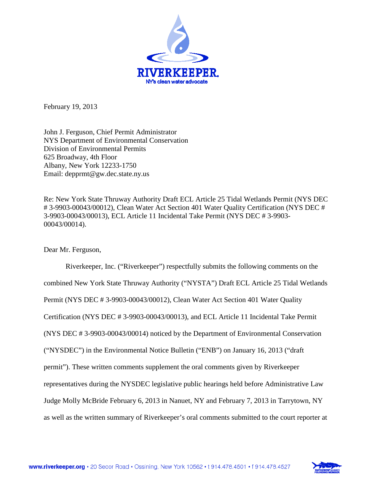

February 19, 2013

John J. Ferguson, Chief Permit Administrator NYS Department of Environmental Conservation Division of Environmental Permits 625 Broadway, 4th Floor Albany, New York 12233-1750 Email: depprmt@gw.dec.state.ny.us

Re: New York State Thruway Authority Draft ECL Article 25 Tidal Wetlands Permit (NYS DEC # 3-9903-00043/00012), Clean Water Act Section 401 Water Quality Certification (NYS DEC # 3-9903-00043/00013), ECL Article 11 Incidental Take Permit (NYS DEC # 3-9903- 00043/00014).

Dear Mr. Ferguson,

Riverkeeper, Inc. ("Riverkeeper") respectfully submits the following comments on the combined New York State Thruway Authority ("NYSTA") Draft ECL Article 25 Tidal Wetlands Permit (NYS DEC # 3-9903-00043/00012), Clean Water Act Section 401 Water Quality Certification (NYS DEC # 3-9903-00043/00013), and ECL Article 11 Incidental Take Permit (NYS DEC # 3-9903-00043/00014) noticed by the Department of Environmental Conservation ("NYSDEC") in the Environmental Notice Bulletin ("ENB") on January 16, 2013 ("draft permit"). These written comments supplement the oral comments given by Riverkeeper representatives during the NYSDEC legislative public hearings held before Administrative Law Judge Molly McBride February 6, 2013 in Nanuet, NY and February 7, 2013 in Tarrytown, NY as well as the written summary of Riverkeeper's oral comments submitted to the court reporter at

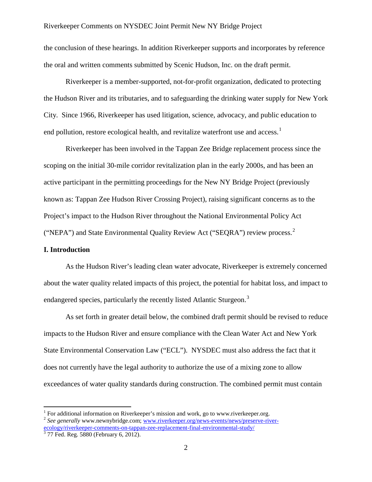the conclusion of these hearings. In addition Riverkeeper supports and incorporates by reference the oral and written comments submitted by Scenic Hudson, Inc. on the draft permit.

Riverkeeper is a member-supported, not-for-profit organization, dedicated to protecting the Hudson River and its tributaries, and to safeguarding the drinking water supply for New York City. Since 1966, Riverkeeper has used litigation, science, advocacy, and public education to end pollution, restore ecological health, and revitalize waterfront use and access.<sup>[1](#page-1-0)</sup>

Riverkeeper has been involved in the Tappan Zee Bridge replacement process since the scoping on the initial 30-mile corridor revitalization plan in the early 2000s, and has been an active participant in the permitting proceedings for the New NY Bridge Project (previously known as: Tappan Zee Hudson River Crossing Project), raising significant concerns as to the Project's impact to the Hudson River throughout the National Environmental Policy Act ("NEPA") and State Environmental Quality Review Act ("SEQRA") review process.<sup>[2](#page-1-1)</sup>

### **I. Introduction**

As the Hudson River's leading clean water advocate, Riverkeeper is extremely concerned about the water quality related impacts of this project, the potential for habitat loss, and impact to endangered species, particularly the recently listed Atlantic Sturgeon.<sup>[3](#page-1-2)</sup>

As set forth in greater detail below, the combined draft permit should be revised to reduce impacts to the Hudson River and ensure compliance with the Clean Water Act and New York State Environmental Conservation Law ("ECL"). NYSDEC must also address the fact that it does not currently have the legal authority to authorize the use of a mixing zone to allow exceedances of water quality standards during construction. The combined permit must contain

<span id="page-1-1"></span><span id="page-1-0"></span><sup>&</sup>lt;sup>1</sup> For additional information on Riverkeeper's mission and work, go to www.riverkeeper.org.<br><sup>2</sup> *See generally* www.newnybridge.com; [www.riverkeeper.org/news-events/news/preserve-river](http://www.riverkeeper.org/news-events/news/preserve-river-ecology/riverkeeper-comments-on-tappan-zee-replacement-final-environmental-study/)[ecology/riverkeeper-comments-on-tappan-zee-replacement-final-environmental-study/](http://www.riverkeeper.org/news-events/news/preserve-river-ecology/riverkeeper-comments-on-tappan-zee-replacement-final-environmental-study/)<br>
<sup>3</sup> 77 Fed. Reg. 5880 (February 6, 2012).

<span id="page-1-2"></span>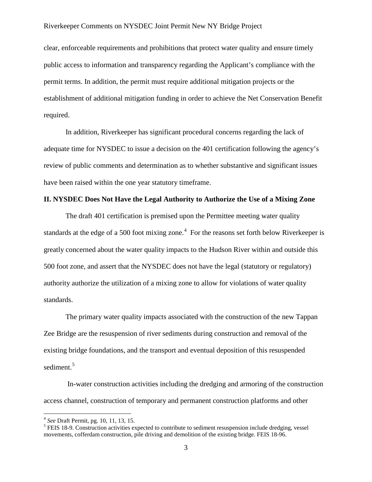clear, enforceable requirements and prohibitions that protect water quality and ensure timely public access to information and transparency regarding the Applicant's compliance with the permit terms. In addition, the permit must require additional mitigation projects or the establishment of additional mitigation funding in order to achieve the Net Conservation Benefit required.

In addition, Riverkeeper has significant procedural concerns regarding the lack of adequate time for NYSDEC to issue a decision on the 401 certification following the agency's review of public comments and determination as to whether substantive and significant issues have been raised within the one year statutory timeframe.

## **II. NYSDEC Does Not Have the Legal Authority to Authorize the Use of a Mixing Zone**

The draft 401 certification is premised upon the Permittee meeting water quality standards at the edge of a 500 foot mixing zone.<sup>[4](#page-2-0)</sup> For the reasons set forth below Riverkeeper is greatly concerned about the water quality impacts to the Hudson River within and outside this 500 foot zone, and assert that the NYSDEC does not have the legal (statutory or regulatory) authority authorize the utilization of a mixing zone to allow for violations of water quality standards.

The primary water quality impacts associated with the construction of the new Tappan Zee Bridge are the resuspension of river sediments during construction and removal of the existing bridge foundations, and the transport and eventual deposition of this resuspended sediment.<sup>[5](#page-2-1)</sup>

In-water construction activities including the dredging and armoring of the construction access channel, construction of temporary and permanent construction platforms and other

<span id="page-2-1"></span>

<span id="page-2-0"></span><sup>&</sup>lt;sup>4</sup> *See* Draft Permit, pg. 10, 11, 13, 15.<br><sup>5</sup> FEIS 18-9. Construction activities expected to contribute to sediment resuspension include dredging, vessel movements, cofferdam construction, pile driving and demolition of the existing bridge. FEIS 18-96.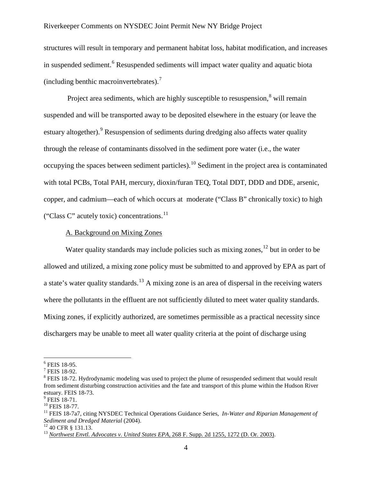structures will result in temporary and permanent habitat loss, habitat modification, and increases in suspended sediment.<sup>[6](#page-3-0)</sup> Resuspended sediments will impact water quality and aquatic biota (including benthic macroinvertebrates).<sup>[7](#page-3-1)</sup>

Project area sediments, which are highly susceptible to resuspension.<sup>[8](#page-3-2)</sup> will remain suspended and will be transported away to be deposited elsewhere in the estuary (or leave the estuary altogether).<sup>[9](#page-3-3)</sup> Resuspension of sediments during dredging also affects water quality through the release of contaminants dissolved in the sediment pore water (i.e., the water occupying the spaces between sediment particles).[10](#page-3-4) Sediment in the project area is contaminated with total PCBs, Total PAH, mercury, dioxin/furan TEQ, Total DDT, DDD and DDE, arsenic, copper, and cadmium—each of which occurs at moderate ("Class B" chronically toxic) to high ("Class C" acutely toxic) concentrations.<sup>[11](#page-3-5)</sup>

## A. Background on Mixing Zones

Water quality standards may include policies such as mixing zones,  $12$  but in order to be allowed and utilized, a mixing zone policy must be submitted to and approved by EPA as part of a state's water quality standards.<sup>[13](#page-3-7)</sup> A mixing zone is an area of dispersal in the receiving waters where the pollutants in the effluent are not sufficiently diluted to meet water quality standards. Mixing zones, if explicitly authorized, are sometimes permissible as a practical necessity since dischargers may be unable to meet all water quality criteria at the point of discharge using

<span id="page-3-2"></span><span id="page-3-1"></span>

<span id="page-3-0"></span><sup>&</sup>lt;sup>6</sup> FEIS 18-95.<br><sup>7</sup> FEIS 18-92.<br><sup>8</sup> FEIS 18-72. Hydrodynamic modeling was used to project the plume of resuspended sediment that would result from sediment disturbing construction activities and the fate and transport of this plume within the Hudson River estuary. FEIS 18-73.<br><sup>9</sup> FEIS 18-71.<br><sup>10</sup> FEIS 18-77.<br><sup>11</sup> FEIS 18-7a7, citing NYSDEC Technical Operations Guidance Series, *In-Water and Riparian Management of* 

<span id="page-3-3"></span>

<span id="page-3-5"></span><span id="page-3-4"></span>*Sediment and Dredged Material* (2004).<br><sup>12</sup> 40 CFR § 131.13.<br><sup>13</sup> *[Northwest Envtl. Advocates v. United States EPA](http://www.lexis.com/research/xlink?app=00075&view=full&searchtype=get&search=268+F.+Supp.+2d+1255%2520at%25201272)*, 268 F. Supp. 2d 1255, 1272 (D. Or. 2003).

<span id="page-3-6"></span>

<span id="page-3-7"></span>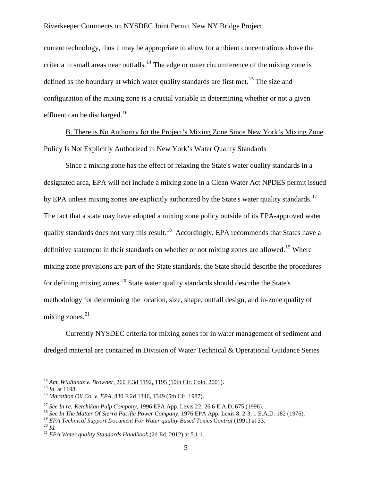current technology, thus it may be appropriate to allow for ambient concentrations above the criteria in small areas near outfalls.<sup>[14](#page-4-0)</sup> The edge or outer circumference of the mixing zone is defined as the boundary at which water quality standards are first met.<sup>[15](#page-4-1)</sup> The size and configuration of the mixing zone is a crucial variable in determining whether or not a given effluent can be discharged.<sup>[16](#page-4-2)</sup>

B. There is No Authority for the Project's Mixing Zone Since New York's Mixing Zone Policy Is Not Explicitly Authorized in New York's Water Quality Standards

Since a mixing zone has the effect of relaxing the State's water quality standards in a designated area, EPA will not include a mixing zone in a Clean Water Act NPDES permit issued by EPA unless mixing zones are explicitly authorized by the State's water quality standards.<sup>[17](#page-4-3)</sup> The fact that a state may have adopted a mixing zone policy outside of its EPA-approved water quality standards does not vary this result.<sup>18</sup> Accordingly, EPA recommends that States have a definitive statement in their standards on whether or not mixing zones are allowed.<sup>[19](#page-4-5)</sup> Where mixing zone provisions are part of the State standards, the State should describe the procedures for defining mixing zones.<sup>[20](#page-4-6)</sup> State water quality standards should describe the State's methodology for determining the location, size, shape, outfall design, and in-zone quality of mixing zones. $21$ 

Currently NYSDEC criteria for mixing zones for in water management of sediment and dredged material are contained in Division of Water Technical & Operational Guidance Series

<span id="page-4-0"></span><sup>&</sup>lt;sup>14</sup> *Am. Wildlands v. Browner*, <u>260 F.3d 1192, 1195 (10th Cir. Colo. 2001)</u>.<br><sup>15</sup> *Id.* at 1198.<br><sup>16</sup> *Marathon Oil Co. v. EPA*[, 830 F.2d 1346, 1349 \(5th Cir.](http://www.lexis.com/research/xlink?app=00075&view=full&searchtype=get&search=830+F.2d+1346%2520at%25201349) 1987).

<span id="page-4-1"></span>

<span id="page-4-2"></span>

<span id="page-4-3"></span><sup>&</sup>lt;sup>17</sup> *See In re: Ketchikan Pulp Company*, 1996 EPA App. Lexis 22; 26 6 E.A.D. 675 (1996).<br><sup>18</sup> *See In The Matter Of Sierra Pacific Power Company*, 1976 EPA App. Lexis 8, 2-3, 1 E.A.D. 182 (1976).

<span id="page-4-4"></span>

<span id="page-4-5"></span><sup>&</sup>lt;sup>19</sup> *EPA Technical Support Document For Water quality Based Toxics Control* (1991) at 33.<br><sup>20</sup> *Id. PHA Water quality Standards Handbook* (2d Ed. 2012) at 5.1.1.

<span id="page-4-6"></span>

<span id="page-4-7"></span>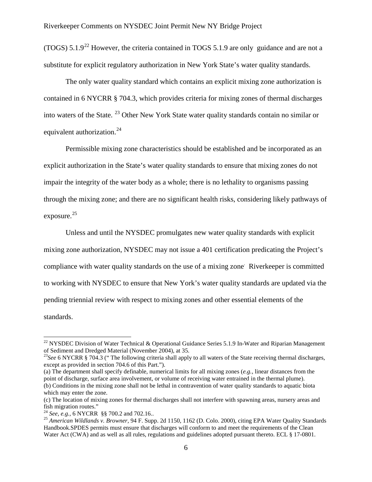(TOGS)  $5.1.9^{22}$  $5.1.9^{22}$  $5.1.9^{22}$  However, the criteria contained in TOGS  $5.1.9$  are only guidance and are not a substitute for explicit regulatory authorization in New York State's water quality standards.

The only water quality standard which contains an explicit mixing zone authorization is contained in 6 NYCRR § 704.3, which provides criteria for mixing zones of thermal discharges into waters of the State. [23](#page-5-1) Other New York State water quality standards contain no similar or equivalent authorization.<sup>24</sup>

Permissible mixing zone characteristics should be established and be incorporated as an explicit authorization in the State's water quality standards to ensure that mixing zones do not impair the integrity of the water body as a whole; there is no lethality to organisms passing through the mixing zone; and there are no significant health risks, considering likely pathways of exposure.<sup>[25](#page-5-3)</sup>

Unless and until the NYSDEC promulgates new water quality standards with explicit mixing zone authorization, NYSDEC may not issue a 401 certification predicating the Project's compliance with water quality standards on the use of a mixing zone. Riverkeeper is committed to working with NYSDEC to ensure that New York's water quality standards are updated via the pending triennial review with respect to mixing zones and other essential elements of the standards.

(a) The department shall specify definable, numerical limits for all mixing zones (*e.g.*, linear distances from the point of discharge, surface area involvement, or volume of receiving water entrained in the thermal plume). (b) Conditions in the mixing zone shall not be lethal in contravention of water quality standards to aquatic biota which may enter the zone.

<span id="page-5-0"></span><sup>&</sup>lt;sup>22</sup> NYSDEC Division of Water Technical & Operational Guidance Series 5.1.9 In-Water and Riparian Management of Sediment and Dredged Material (November 2004), at 35.

<span id="page-5-1"></span><sup>&</sup>lt;sup>23</sup>See 6 NYCRR § 704.3 (" The following criteria shall apply to all waters of the State receiving thermal discharges, except as provided in section 704.6 of this Part.").

<sup>(</sup>c) The location of mixing zones for thermal discharges shall not interfere with spawning areas, nursery areas and fish migration routes."<br> $^{24}$  *See, e.g.,* 6 NYCRR §§ 700.2 and 702.16..

<span id="page-5-3"></span><span id="page-5-2"></span><sup>&</sup>lt;sup>25</sup> American Wildlands v. Browner, 94 F. Supp. 2d 1150, 1162 (D. Colo. 2000), citing EPA Water Quality Standards Handbook.SPDES permits must ensure that discharges will conform to and meet the requirements of the Clean Water Act (CWA) and as well as all rules, regulations and guidelines adopted pursuant thereto. ECL § 17-0801.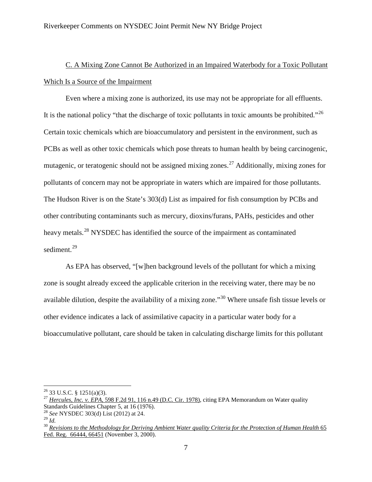## C. A Mixing Zone Cannot Be Authorized in an Impaired Waterbody for a Toxic Pollutant Which Is a Source of the Impairment

Even where a mixing zone is authorized, its use may not be appropriate for all effluents. It is the national policy "that the discharge of toxic pollutants in toxic amounts be prohibited."<sup>[26](#page-6-0)</sup> Certain toxic chemicals which are bioaccumulatory and persistent in the environment, such as PCBs as well as other toxic chemicals which pose threats to human health by being carcinogenic, mutagenic, or teratogenic should not be assigned mixing zones.<sup>[27](#page-6-1)</sup> Additionally, mixing zones for pollutants of concern may not be appropriate in waters which are impaired for those pollutants. The Hudson River is on the State's 303(d) List as impaired for fish consumption by PCBs and other contributing contaminants such as mercury, dioxins/furans, PAHs, pesticides and other heavy metals.<sup>[28](#page-6-2)</sup> NYSDEC has identified the source of the impairment as contaminated sediment.<sup>29</sup>

As EPA has observed, "[w]hen background levels of the pollutant for which a mixing zone is sought already exceed the applicable criterion in the receiving water, there may be no available dilution, despite the availability of a mixing zone."[30](#page-6-4) Where unsafe fish tissue levels or other evidence indicates a lack of assimilative capacity in a particular water body for a bioaccumulative pollutant, care should be taken in calculating discharge limits for this pollutant

<span id="page-6-1"></span><span id="page-6-0"></span><sup>26</sup> 33 U.S.C. § 1251(a)(3). <sup>27</sup> *Hercules, Inc. v. EPA*[, 598 F.2d 91, 116 n.49 \(D.C. Cir. 1978\),](http://www.lexis.com/research/xlink?app=00075&view=full&searchtype=get&search=598+F.2d+91%2520at%2520116) citing EPA Memorandum on Water quality Standards Guidelines Chapter 5, at 16 (1976).

<span id="page-6-2"></span><sup>&</sup>lt;sup>28</sup> *See* NYSDEC 303(d) List (2012) at 24.<br><sup>29</sup> *M* 

<span id="page-6-4"></span><span id="page-6-3"></span>

<sup>&</sup>lt;sup>30</sup> *[Revisions to the Methodology for Deriving Ambient Water quality Criteria for the Protection of Human Health](http://www.lexis.com/research/xlink?app=00075&view=full&searchtype=get&search=65+FR+66444%2520at%252066451)* 65 [Fed. Reg. 66444, 66451](http://www.lexis.com/research/xlink?app=00075&view=full&searchtype=get&search=65+FR+66444%2520at%252066451) (November 3, 2000).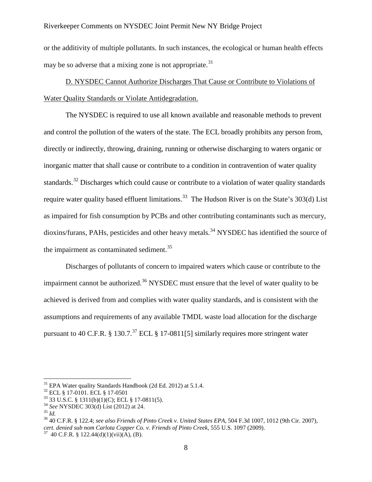or the additivity of multiple pollutants. In such instances, the ecological or human health effects may be so adverse that a mixing zone is not appropriate.<sup>[31](#page-7-0)</sup>

D. NYSDEC Cannot Authorize Discharges That Cause or Contribute to Violations of Water Quality Standards or Violate Antidegradation.

The NYSDEC is required to use all known available and reasonable methods to prevent and control the pollution of the waters of the state. The ECL broadly prohibits any person from, directly or indirectly, throwing, draining, running or otherwise discharging to waters organic or inorganic matter that shall cause or contribute to a condition in contravention of water quality standards.<sup>[32](#page-7-1)</sup> Discharges which could cause or contribute to a violation of water quality standards require water quality based effluent limitations.<sup>33</sup> The Hudson River is on the State's 303(d) List as impaired for fish consumption by PCBs and other contributing contaminants such as mercury, dioxins/furans, PAHs, pesticides and other heavy metals.<sup>[34](#page-7-3)</sup> NYSDEC has identified the source of the impairment as contaminated sediment.<sup>[35](#page-7-4)</sup>

Discharges of pollutants of concern to impaired waters which cause or contribute to the impairment cannot be authorized.<sup>[36](#page-7-5)</sup> NYSDEC must ensure that the level of water quality to be achieved is derived from and complies with water quality standards, and is consistent with the assumptions and requirements of any available TMDL waste load allocation for the discharge pursuant to 40 C.F.R.  $\S 130.7$ .<sup>[37](#page-7-6)</sup> ECL  $\S 17$ -0811[5] similarly requires more stringent water

<span id="page-7-1"></span>

<span id="page-7-2"></span>

<span id="page-7-4"></span><span id="page-7-3"></span>

<span id="page-7-6"></span><span id="page-7-5"></span>

<span id="page-7-0"></span><sup>&</sup>lt;sup>31</sup> EPA Water quality Standards Handbook (2d Ed. 2012) at 5.1.4.<br><sup>32</sup> ECL § 17-0101. ECL § 17-0501<br><sup>33</sup> 33 U.S.C. § 1311(b)(1)(C); ECL § 17-0811(5).<br><sup>34</sup> *See* NYSDEC 303(d) List (2012) at 24.<br><sup>35</sup> 40 C.F.R. § 122.4; *se cert. denied sub nom Carlota Copper Co. v. Friends of Pinto Creek*, 555 U.S. 1097 (2009).<br><sup>37</sup> 40 C.F.R. § 122.44(d)(1)(vii)(A), (B).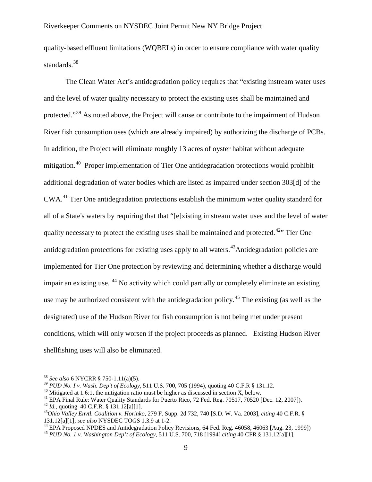quality-based effluent limitations (WQBELs) in order to ensure compliance with water quality standards. [38](#page-8-0)

The Clean Water Act's antidegradation policy requires that "existing instream water uses and the level of water quality necessary to protect the existing uses shall be maintained and protected."<sup>[39](#page-8-1)</sup> As noted above, the Project will cause or contribute to the impairment of Hudson River fish consumption uses (which are already impaired) by authorizing the discharge of PCBs. In addition, the Project will eliminate roughly 13 acres of oyster habitat without adequate mitigation.<sup>40</sup> Proper implementation of Tier One antidegradation protections would prohibit additional degradation of water bodies which are listed as impaired under section 303[d] of the CWA.<sup>[41](#page-8-3)</sup> Tier One antidegradation protections establish the minimum water quality standard for all of a State's waters by requiring that that "[e]xisting in stream water uses and the level of water quality necessary to protect the existing uses shall be maintained and protected.<sup>[42](#page-8-4)</sup> Tier One antidegradation protections for existing uses apply to all waters.<sup>43</sup>Antidegradation policies are implemented for Tier One protection by reviewing and determining whether a discharge would impair an existing use. <sup>[44](#page-8-6)</sup> No activity which could partially or completely eliminate an existing use may be authorized consistent with the antidegradation policy.<sup>[45](#page-8-7)</sup> The existing (as well as the designated) use of the Hudson River for fish consumption is not being met under present conditions, which will only worsen if the project proceeds as planned. Existing Hudson River shellfishing uses will also be eliminated.

<span id="page-8-0"></span><sup>38</sup> *See also* 6 NYCRR § 750-1.11(a)(5).

<span id="page-8-3"></span>

<span id="page-8-4"></span>

<span id="page-8-5"></span>

<span id="page-8-2"></span><span id="page-8-1"></span><sup>&</sup>lt;sup>40</sup> Mitigated at 1.6:1, the mitigation ratio must be higher as discussed in section X, below.<br><sup>41</sup> EPA Final Rule: Water Quality Standards for Puerto Rico, 72 Fed. Reg. 70517, 70520 [Dec. 12, 2007]).<br><sup>42</sup> Id., quoting 40

<span id="page-8-7"></span><span id="page-8-6"></span><sup>&</sup>lt;sup>44</sup> EPA Proposed NPDES and Antidegradation Policy Revisions, 64 Fed. Reg. 46058, 46063 [Aug. 23, 1999]) <sup>45</sup> PUD No. 1 v. Washington Dep't of Ecology, 511 U.S. 700, 718 [1994] citing 40 CFR § 131.12[a][1].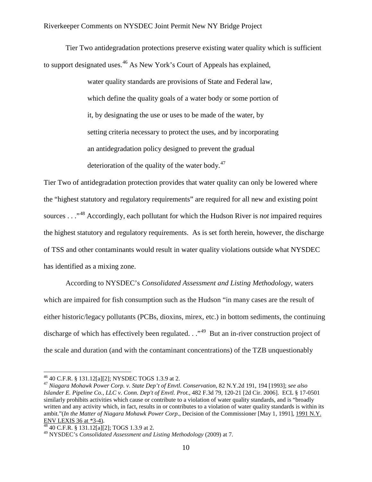Tier Two antidegradation protections preserve existing water quality which is sufficient to support designated uses.<sup>[46](#page-9-0)</sup> As New York's Court of Appeals has explained,

> water quality standards are provisions of State and Federal law, which define the quality goals of a water body or some portion of it, by designating the use or uses to be made of the water, by setting criteria necessary to protect the uses, and by incorporating an antidegradation policy designed to prevent the gradual deterioration of the quality of the water body. $47$

Tier Two of antidegradation protection provides that water quality can only be lowered where the "highest statutory and regulatory requirements" are required for all new and existing point sources . . ."[48](#page-9-2) Accordingly, each pollutant for which the Hudson River is *not* impaired requires the highest statutory and regulatory requirements. As is set forth herein, however, the discharge of TSS and other contaminants would result in water quality violations outside what NYSDEC has identified as a mixing zone.

According to NYSDEC's *Consolidated Assessment and Listing Methodology*, waters which are impaired for fish consumption such as the Hudson "in many cases are the result of either historic/legacy pollutants (PCBs, dioxins, mirex, etc.) in bottom sediments, the continuing discharge of which has effectively been regulated.  $\cdot$  ...<sup>[49](#page-9-3)</sup> But an in-river construction project of the scale and duration (and with the contaminant concentrations) of the TZB unquestionably

<span id="page-9-1"></span><span id="page-9-0"></span><sup>46</sup> 40 C.F.R. § 131.12[a][2]; NYSDEC TOGS 1.3.9 at 2. <sup>47</sup> *Niagara Mohawk Power Corp. v. State Dep't of Envtl. Conservation*, 82 N.Y.2d 191, 194 [1993]; *see also Islander E. Pipeline Co., LLC v. Conn. Dep't of Envtl. Prot.,* 482 F.3d 79, 120-21 [2d Cir. 2006]. ECL § 17-0501 similarly prohibits activities which cause or contribute to a violation of water quality standards, and is "broadly written and any activity which, in fact, results in or contributes to a violation of water quality standards is within its ambit."(*In the Matter of Niagara Mohawk Power Corp*., Decision of the Commissioner [May 1, 1991], [1991 N.Y.](http://www.lexis.com/research/xlink?app=00075&view=full&searchtype=get&search=1991+N.Y.+ENV+LEXIS+36)  [ENV LEXIS 36 at \\*3-4\).](http://www.lexis.com/research/xlink?app=00075&view=full&searchtype=get&search=1991+N.Y.+ENV+LEXIS+36) <sup>48</sup> 40 C.F.R. § 131.12[a][2]; TOGS 1.3.9 at 2. <sup>49</sup> NYSDEC's *Consolidated Assessment and Listing Methodology* (2009) at 7.

<span id="page-9-2"></span>

<span id="page-9-3"></span>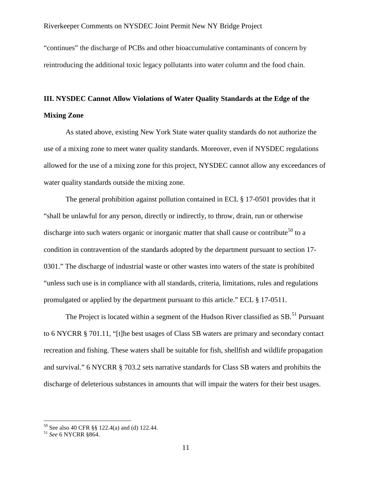"continues" the discharge of PCBs and other bioaccumulative contaminants of concern by reintroducing the additional toxic legacy pollutants into water column and the food chain.

## **III. NYSDEC Cannot Allow Violations of Water Quality Standards at the Edge of the Mixing Zone**

As stated above, existing New York State water quality standards do not authorize the use of a mixing zone to meet water quality standards. Moreover, even if NYSDEC regulations allowed for the use of a mixing zone for this project, NYSDEC cannot allow any exceedances of water quality standards outside the mixing zone.

The general prohibition against pollution contained in ECL § 17-0501 provides that it "shall be unlawful for any person, directly or indirectly, to throw, drain, run or otherwise discharge into such waters organic or inorganic matter that shall cause or contribute<sup>[50](#page-10-0)</sup> to a condition in contravention of the standards adopted by the department pursuant to section 17- 0301." The discharge of industrial waste or other wastes into waters of the state is prohibited "unless such use is in compliance with all standards, criteria, limitations, rules and regulations promulgated or applied by the department pursuant to this article." ECL § 17-0511.

The Project is located within a segment of the Hudson River classified as  $SB$ <sup>[51](#page-10-1)</sup> Pursuant to 6 NYCRR § 701.11, "[t]he best usages of Class SB waters are primary and secondary contact recreation and fishing. These waters shall be suitable for fish, shellfish and wildlife propagation and survival." 6 NYCRR § 703.2 sets narrative standards for Class SB waters and prohibits the discharge of deleterious substances in amounts that will impair the waters for their best usages.

<span id="page-10-0"></span><sup>50</sup> See also 40 CFR §§ 122.4(a) and (d) 122.44. <sup>51</sup> *See* 6 NYCRR §864.

<span id="page-10-1"></span>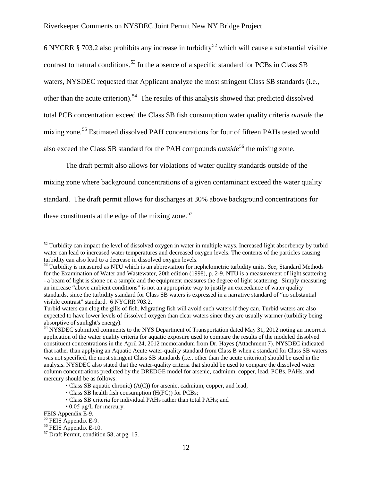6 NYCRR § 703.2 also prohibits any increase in turbidity<sup>[52](#page-11-0)</sup> which will cause a substantial visible contrast to natural conditions.<sup>[53](#page-11-1)</sup> In the absence of a specific standard for PCBs in Class SB waters, NYSDEC requested that Applicant analyze the most stringent Class SB standards (i.e., other than the acute criterion).<sup>54</sup> The results of this analysis showed that predicted dissolved total PCB concentration exceed the Class SB fish consumption water quality criteria *outside* the mixing zone.<sup>[55](#page-11-3)</sup> Estimated dissolved PAH concentrations for four of fifteen PAHs tested would also exceed the Class SB standard for the PAH compounds *outside*<sup>[56](#page-11-4)</sup> the mixing zone.

The draft permit also allows for violations of water quality standards outside of the mixing zone where background concentrations of a given contaminant exceed the water quality standard. The draft permit allows for discharges at 30% above background concentrations for these constituents at the edge of the mixing zone. $57$ 

<span id="page-11-0"></span><sup>&</sup>lt;sup>52</sup> Turbidity can impact the level of dissolved oxygen in water in multiple ways. Increased light absorbency by turbid water can lead to increased water temperatures and decreased oxygen levels. The contents of the particles causing turbidity can also lead to a decrease in dissolved oxygen levels.

<span id="page-11-1"></span><sup>53</sup> Turbidity is measured as NTU which is an abbreviation for nephelometric turbidity units. *See*, Standard Methods for the Examination of Water and Wastewater, 20th edition (1998), p. 2-9. NTU is a measurement of light scattering - a beam of light is shone on a sample and the equipment measures the degree of light scattering. Simply measuring an increase "above ambient conditions" is not an appropriate way to justify an exceedance of water quality standards, since the turbidity standard for Class SB waters is expressed in a narrative standard of "no substantial visible contrast" standard. 6 NYCRR 703.2.

Turbid waters can clog the gills of fish. Migrating fish will avoid such waters if they can. Turbid waters are also expected to have lower levels of dissolved oxygen than clear waters since they are usually warmer (turbidity being absorptive of sunlight's energy).

<span id="page-11-2"></span><sup>&</sup>lt;sup>54</sup> NYSDEC submitted comments to the NYS Department of Transportation dated May 31, 2012 noting an incorrect application of the water quality criteria for aquatic exposure used to compare the results of the modeled dissolved constituent concentrations in the April 24, 2012 memorandum from Dr. Hayes (Attachment 7). NYSDEC indicated that rather than applying an Aquatic Acute water-quality standard from Class B when a standard for Class SB waters was not specified, the most stringent Class SB standards (i.e., other than the acute criterion) should be used in the analysis. NYSDEC also stated that the water-quality criteria that should be used to compare the dissolved water column concentrations predicted by the DREDGE model for arsenic, cadmium, copper, lead, PCBs, PAHs, and mercury should be as follows:

<sup>•</sup> Class SB aquatic chronic) (A(C)) for arsenic, cadmium, copper, and lead;

<sup>•</sup> Class SB health fish consumption (H(FC)) for PCBs;

<sup>•</sup> Class SB criteria for individual PAHs rather than total PAHs; and

<sup>• 0.05</sup> μg/L for mercury.

<span id="page-11-4"></span>

<span id="page-11-5"></span>

<span id="page-11-3"></span>FEIS Appendix E-9.<br><sup>55</sup> FEIS Appendix E-9.<br><sup>56</sup> FEIS Appendix E-10.<br><sup>57</sup> Draft Permit, condition 58, at pg. 15.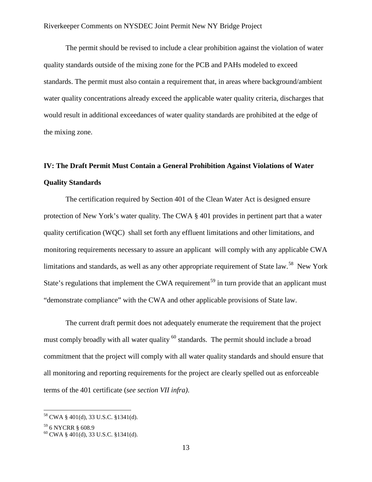The permit should be revised to include a clear prohibition against the violation of water quality standards outside of the mixing zone for the PCB and PAHs modeled to exceed standards. The permit must also contain a requirement that, in areas where background/ambient water quality concentrations already exceed the applicable water quality criteria, discharges that would result in additional exceedances of water quality standards are prohibited at the edge of the mixing zone.

## **IV: The Draft Permit Must Contain a General Prohibition Against Violations of Water Quality Standards**

The certification required by Section 401 of the Clean Water Act is designed ensure protection of New York's water quality. The CWA § 401 provides in pertinent part that a water quality certification (WQC) shall set forth any effluent limitations and other limitations, and monitoring requirements necessary to assure an applicant will comply with any applicable CWA limitations and standards, as well as any other appropriate requirement of State law.<sup>[58](#page-12-0)</sup> New York State's regulations that implement the CWA requirement<sup>[59](#page-12-1)</sup> in turn provide that an applicant must "demonstrate compliance" with the CWA and other applicable provisions of State law.

The current draft permit does not adequately enumerate the requirement that the project must comply broadly with all water quality <sup>[60](#page-12-2)</sup> standards. The permit should include a broad commitment that the project will comply with all water quality standards and should ensure that all monitoring and reporting requirements for the project are clearly spelled out as enforceable terms of the 401 certificate (*see section VII infra)*.

<span id="page-12-0"></span><sup>58</sup> CWA § 401(d), 33 U.S.C. §1341(d).

<span id="page-12-2"></span><span id="page-12-1"></span> $^{59}$  6 NYCRR § 608.9<br><sup>60</sup> CWA § 401(d), 33 U.S.C. §1341(d).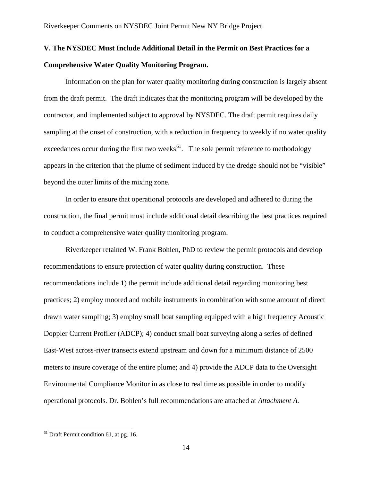## **V. The NYSDEC Must Include Additional Detail in the Permit on Best Practices for a Comprehensive Water Quality Monitoring Program.**

Information on the plan for water quality monitoring during construction is largely absent from the draft permit. The draft indicates that the monitoring program will be developed by the contractor, and implemented subject to approval by NYSDEC. The draft permit requires daily sampling at the onset of construction, with a reduction in frequency to weekly if no water quality exceedances occur during the first two weeks $^{61}$ . The sole permit reference to methodology appears in the criterion that the plume of sediment induced by the dredge should not be "visible" beyond the outer limits of the mixing zone.

In order to ensure that operational protocols are developed and adhered to during the construction, the final permit must include additional detail describing the best practices required to conduct a comprehensive water quality monitoring program.

Riverkeeper retained W. Frank Bohlen, PhD to review the permit protocols and develop recommendations to ensure protection of water quality during construction. These recommendations include 1) the permit include additional detail regarding monitoring best practices; 2) employ moored and mobile instruments in combination with some amount of direct drawn water sampling; 3) employ small boat sampling equipped with a high frequency Acoustic Doppler Current Profiler (ADCP); 4) conduct small boat surveying along a series of defined East-West across-river transects extend upstream and down for a minimum distance of 2500 meters to insure coverage of the entire plume; and 4) provide the ADCP data to the Oversight Environmental Compliance Monitor in as close to real time as possible in order to modify operational protocols. Dr. Bohlen's full recommendations are attached at *Attachment A.*

<span id="page-13-0"></span><sup>&</sup>lt;sup>61</sup> Draft Permit condition 61, at pg. 16.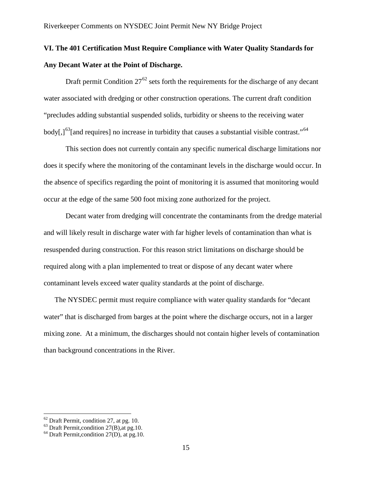## **VI. The 401 Certification Must Require Compliance with Water Quality Standards for Any Decant Water at the Point of Discharge.**

Draft permit Condition  $27^{62}$  $27^{62}$  $27^{62}$  sets forth the requirements for the discharge of any decant water associated with dredging or other construction operations. The current draft condition "precludes adding substantial suspended solids, turbidity or sheens to the receiving water body[,] $^{63}$ [and requires] no increase in turbidity that causes a substantial visible contrast."<sup>[64](#page-14-2)</sup>

This section does not currently contain any specific numerical discharge limitations nor does it specify where the monitoring of the contaminant levels in the discharge would occur. In the absence of specifics regarding the point of monitoring it is assumed that monitoring would occur at the edge of the same 500 foot mixing zone authorized for the project.

Decant water from dredging will concentrate the contaminants from the dredge material and will likely result in discharge water with far higher levels of contamination than what is resuspended during construction. For this reason strict limitations on discharge should be required along with a plan implemented to treat or dispose of any decant water where contaminant levels exceed water quality standards at the point of discharge.

The NYSDEC permit must require compliance with water quality standards for "decant water" that is discharged from barges at the point where the discharge occurs, not in a larger mixing zone. At a minimum, the discharges should not contain higher levels of contamination than background concentrations in the River.

<span id="page-14-1"></span><span id="page-14-0"></span><sup>&</sup>lt;sup>62</sup> Draft Permit, condition 27, at pg. 10.<br><sup>63</sup> Draft Permit, condition 27(B), at pg.10.<br><sup>64</sup> Draft Permit, condition 27(D), at pg.10.

<span id="page-14-2"></span>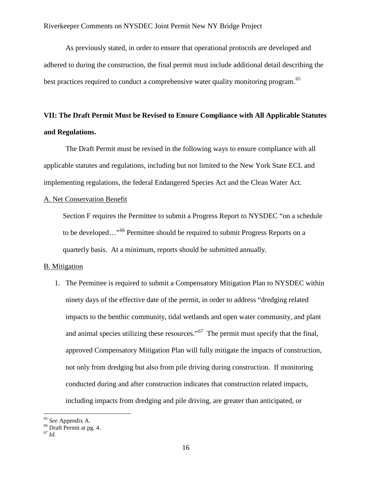As previously stated, in order to ensure that operational protocols are developed and adhered to during the construction, the final permit must include additional detail describing the best practices required to conduct a comprehensive water quality monitoring program.<sup>[65](#page-15-0)</sup>

## **VII: The Draft Permit Must be Revised to Ensure Compliance with All Applicable Statutes and Regulations.**

The Draft Permit must be revised in the following ways to ensure compliance with all applicable statutes and regulations, including but not limited to the New York State ECL and implementing regulations, the federal Endangered Species Act and the Clean Water Act.

### A. Net Conservation Benefit

Section F requires the Permittee to submit a Progress Report to NYSDEC "on a schedule to be developed..."<sup>[66](#page-15-1)</sup> Permittee should be required to submit Progress Reports on a quarterly basis. At a minimum, reports should be submitted annually.

### B. Mitigation

1. The Permittee is required to submit a Compensatory Mitigation Plan to NYSDEC within ninety days of the effective date of the permit, in order to address "dredging related impacts to the benthic community, tidal wetlands and open water community, and plant and animal species utilizing these resources."<sup>67</sup> The permit must specify that the final, approved Compensatory Mitigation Plan will fully mitigate the impacts of construction, not only from dredging but also from pile driving during construction. If monitoring conducted during and after construction indicates that construction related impacts, including impacts from dredging and pile driving, are greater than anticipated, or

<span id="page-15-1"></span><span id="page-15-0"></span><sup>65</sup> *See* Appendix A. <sup>66</sup> Draft Permit at pg. 4. <sup>67</sup> *Id.*

<span id="page-15-2"></span>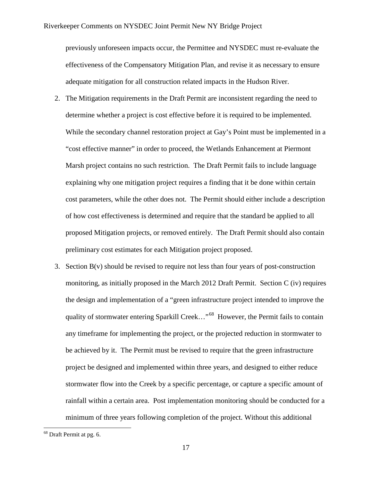previously unforeseen impacts occur, the Permittee and NYSDEC must re-evaluate the effectiveness of the Compensatory Mitigation Plan, and revise it as necessary to ensure adequate mitigation for all construction related impacts in the Hudson River.

- 2. The Mitigation requirements in the Draft Permit are inconsistent regarding the need to determine whether a project is cost effective before it is required to be implemented. While the secondary channel restoration project at Gay's Point must be implemented in a "cost effective manner" in order to proceed, the Wetlands Enhancement at Piermont Marsh project contains no such restriction. The Draft Permit fails to include language explaining why one mitigation project requires a finding that it be done within certain cost parameters, while the other does not. The Permit should either include a description of how cost effectiveness is determined and require that the standard be applied to all proposed Mitigation projects, or removed entirely. The Draft Permit should also contain preliminary cost estimates for each Mitigation project proposed.
- 3. Section  $B(v)$  should be revised to require not less than four years of post-construction monitoring, as initially proposed in the March 2012 Draft Permit. Section C (iv) requires the design and implementation of a "green infrastructure project intended to improve the quality of stormwater entering Sparkill Creek..."<sup>[68](#page-16-0)</sup> However, the Permit fails to contain any timeframe for implementing the project, or the projected reduction in stormwater to be achieved by it. The Permit must be revised to require that the green infrastructure project be designed and implemented within three years, and designed to either reduce stormwater flow into the Creek by a specific percentage, or capture a specific amount of rainfall within a certain area. Post implementation monitoring should be conducted for a minimum of three years following completion of the project. Without this additional

<span id="page-16-0"></span><sup>68</sup> Draft Permit at pg. 6.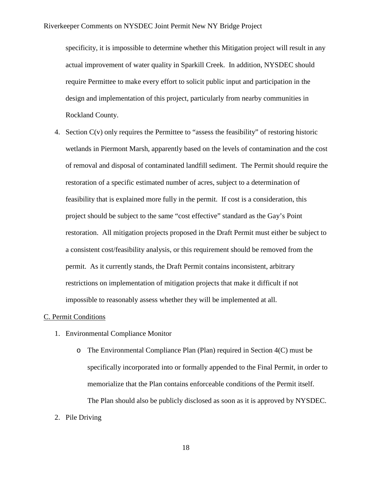specificity, it is impossible to determine whether this Mitigation project will result in any actual improvement of water quality in Sparkill Creek. In addition, NYSDEC should require Permittee to make every effort to solicit public input and participation in the design and implementation of this project, particularly from nearby communities in Rockland County.

4. Section C(v) only requires the Permittee to "assess the feasibility" of restoring historic wetlands in Piermont Marsh, apparently based on the levels of contamination and the cost of removal and disposal of contaminated landfill sediment. The Permit should require the restoration of a specific estimated number of acres, subject to a determination of feasibility that is explained more fully in the permit. If cost is a consideration, this project should be subject to the same "cost effective" standard as the Gay's Point restoration. All mitigation projects proposed in the Draft Permit must either be subject to a consistent cost/feasibility analysis, or this requirement should be removed from the permit. As it currently stands, the Draft Permit contains inconsistent, arbitrary restrictions on implementation of mitigation projects that make it difficult if not impossible to reasonably assess whether they will be implemented at all.

#### C. Permit Conditions

- 1. Environmental Compliance Monitor
	- o The Environmental Compliance Plan (Plan) required in Section 4(C) must be specifically incorporated into or formally appended to the Final Permit, in order to memorialize that the Plan contains enforceable conditions of the Permit itself. The Plan should also be publicly disclosed as soon as it is approved by NYSDEC.
- 2. Pile Driving

18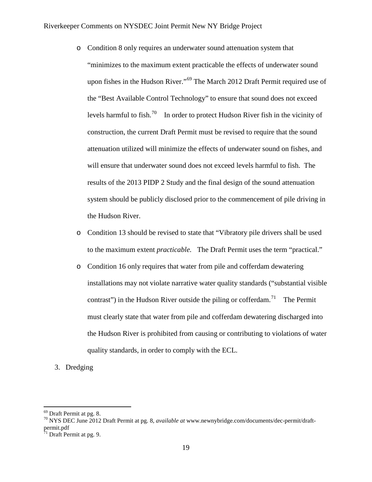- o Condition 8 only requires an underwater sound attenuation system that "minimizes to the maximum extent practicable the effects of underwater sound upon fishes in the Hudson River."<sup>[69](#page-18-0)</sup> The March 2012 Draft Permit required use of the "Best Available Control Technology" to ensure that sound does not exceed levels harmful to fish.<sup>[70](#page-18-1)</sup> In order to protect Hudson River fish in the vicinity of construction, the current Draft Permit must be revised to require that the sound attenuation utilized will minimize the effects of underwater sound on fishes, and will ensure that underwater sound does not exceed levels harmful to fish. The results of the 2013 PIDP 2 Study and the final design of the sound attenuation system should be publicly disclosed prior to the commencement of pile driving in the Hudson River.
- o Condition 13 should be revised to state that "Vibratory pile drivers shall be used to the maximum extent *practicable.* The Draft Permit uses the term "practical."
- o Condition 16 only requires that water from pile and cofferdam dewatering installations may not violate narrative water quality standards ("substantial visible contrast") in the Hudson River outside the piling or cofferdam.<sup>71</sup> The Permit must clearly state that water from pile and cofferdam dewatering discharged into the Hudson River is prohibited from causing or contributing to violations of water quality standards, in order to comply with the ECL.

## 3. Dredging

<span id="page-18-1"></span><span id="page-18-0"></span><sup>69</sup> Draft Permit at pg. 8. <sup>70</sup> NYS DEC June 2012 Draft Permit at pg. 8, *available at* www.newnybridge.com/documents/dec-permit/draftpermit.pdf

<span id="page-18-2"></span> $71$  Draft Permit at pg. 9.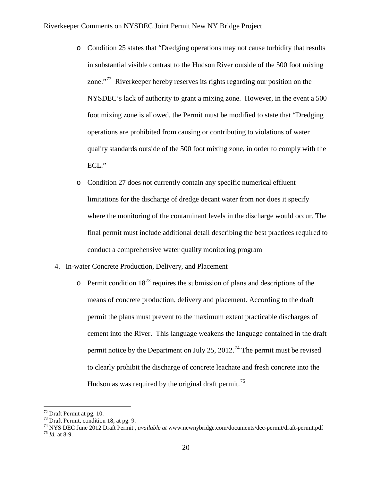- o Condition 25 states that "Dredging operations may not cause turbidity that results in substantial visible contrast to the Hudson River outside of the 500 foot mixing zone."<sup>72</sup> Riverkeeper hereby reserves its rights regarding our position on the NYSDEC's lack of authority to grant a mixing zone. However, in the event a 500 foot mixing zone is allowed, the Permit must be modified to state that "Dredging operations are prohibited from causing or contributing to violations of water quality standards outside of the 500 foot mixing zone, in order to comply with the ECL."
- o Condition 27 does not currently contain any specific numerical effluent limitations for the discharge of dredge decant water from nor does it specify where the monitoring of the contaminant levels in the discharge would occur. The final permit must include additional detail describing the best practices required to conduct a comprehensive water quality monitoring program
- 4. In-water Concrete Production, Delivery, and Placement
	- $\circ$  Permit condition 18<sup>[73](#page-19-1)</sup> requires the submission of plans and descriptions of the means of concrete production, delivery and placement. According to the draft permit the plans must prevent to the maximum extent practicable discharges of cement into the River. This language weakens the language contained in the draft permit notice by the Department on July 25, 2012.<sup>[74](#page-19-2)</sup> The permit must be revised to clearly prohibit the discharge of concrete leachate and fresh concrete into the Hudson as was required by the original draft permit.<sup>[75](#page-19-3)</sup>

<span id="page-19-3"></span><span id="page-19-2"></span>

<span id="page-19-1"></span><span id="page-19-0"></span><sup>72</sup> Draft Permit at pg. 10. <sup>73</sup> Draft Permit, condition 18, at pg. 9. <sup>74</sup> NYS DEC June 2012 Draft Permit , *available at* www.newnybridge.com/documents/dec-permit/draft-permit.pdf <sup>75</sup> *Id.* at 8-9.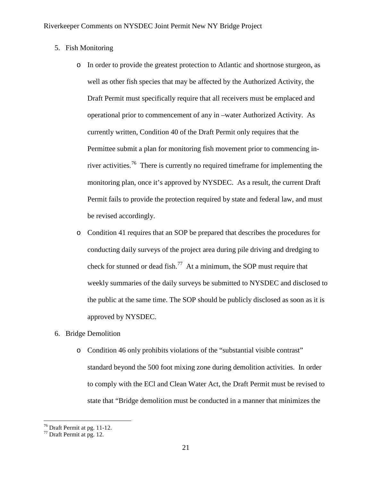- 5. Fish Monitoring
	- o In order to provide the greatest protection to Atlantic and shortnose sturgeon, as well as other fish species that may be affected by the Authorized Activity, the Draft Permit must specifically require that all receivers must be emplaced and operational prior to commencement of any in –water Authorized Activity. As currently written, Condition 40 of the Draft Permit only requires that the Permittee submit a plan for monitoring fish movement prior to commencing inriver activities.<sup>76</sup> There is currently no required time frame for implementing the monitoring plan, once it's approved by NYSDEC. As a result, the current Draft Permit fails to provide the protection required by state and federal law, and must be revised accordingly.
	- o Condition 41 requires that an SOP be prepared that describes the procedures for conducting daily surveys of the project area during pile driving and dredging to check for stunned or dead fish.<sup>77</sup> At a minimum, the SOP must require that weekly summaries of the daily surveys be submitted to NYSDEC and disclosed to the public at the same time. The SOP should be publicly disclosed as soon as it is approved by NYSDEC.
- 6. Bridge Demolition
	- o Condition 46 only prohibits violations of the "substantial visible contrast" standard beyond the 500 foot mixing zone during demolition activities. In order to comply with the ECl and Clean Water Act, the Draft Permit must be revised to state that "Bridge demolition must be conducted in a manner that minimizes the

<span id="page-20-1"></span><span id="page-20-0"></span> $^{76}$  Draft Permit at pg. 11-12.<br> $^{77}$  Draft Permit at pg. 12.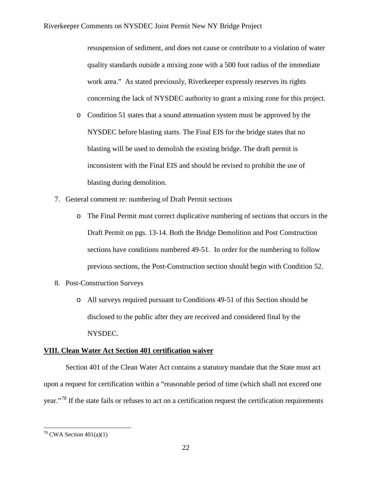resuspension of sediment, and does not cause or contribute to a violation of water quality standards outside a mixing zone with a 500 foot radius of the immediate work area." As stated previously, Riverkeeper expressly reserves its rights concerning the lack of NYSDEC authority to grant a mixing zone for this project.

- o Condition 51 states that a sound attenuation system must be approved by the NYSDEC before blasting starts. The Final EIS for the bridge states that no blasting will be used to demolish the existing bridge. The draft permit is inconsistent with the Final EIS and should be revised to prohibit the use of blasting during demolition.
- 7. General comment re: numbering of Draft Permit sections
	- o The Final Permit must correct duplicative numbering of sections that occurs in the Draft Permit on pgs. 13-14. Both the Bridge Demolition and Post Construction sections have conditions numbered 49-51. In order for the numbering to follow previous sections, the Post-Construction section should begin with Condition 52.
- 8. Post-Construction Surveys
	- o All surveys required pursuant to Conditions 49-51 of this Section should be disclosed to the public after they are received and considered final by the NYSDEC.

## **VIII. Clean Water Act Section 401 certification waiver**

Section 401 of the Clean Water Act contains a statutory mandate that the State must act upon a request for certification within a "reasonable period of time (which shall not exceed one year."[78](#page-21-0) If the state fails or refuses to act on a certification request the certification requirements

<span id="page-21-0"></span><sup>&</sup>lt;sup>78</sup> CWA Section  $401(a)(1)$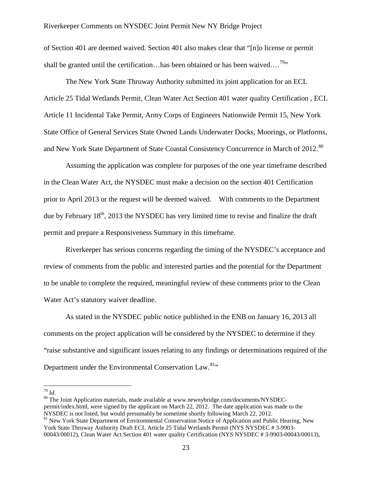of Section 401 are deemed waived. Section 401 also makes clear that "[n]o license or permit shall be granted until the certification...has been obtained or has been waived....<sup>79</sup>"

The New York State Thruway Authority submitted its joint application for an ECL Article 25 Tidal Wetlands Permit, Clean Water Act Section 401 water quality Certification , ECL Article 11 Incidental Take Permit, Army Corps of Engineers Nationwide Permit 15, New York State Office of General Services State Owned Lands Underwater Docks, Moorings, or Platforms, and New York State Department of State Coastal Consistency Concurrence in March of 2012.<sup>[80](#page-22-1)</sup>

Assuming the application was complete for purposes of the one year timeframe described in the Clean Water Act, the NYSDEC must make a decision on the section 401 Certification prior to April 2013 or the request will be deemed waived. With comments to the Department due by February 18<sup>th</sup>, 2013 the NYSDEC has very limited time to revise and finalize the draft permit and prepare a Responsiveness Summary in this timeframe.

Riverkeeper has serious concerns regarding the timing of the NYSDEC's acceptance and review of comments from the public and interested parties and the potential for the Department to be unable to complete the required, meaningful review of these comments prior to the Clean Water Act's statutory waiver deadline.

As stated in the NYSDEC public notice published in the ENB on January 16, 2013 all comments on the project application will be considered by the NYSDEC to determine if they "raise substantive and significant issues relating to any findings or determinations required of the Department under the Environmental Conservation Law.<sup>[81](#page-22-2)</sup>"

<span id="page-22-1"></span><span id="page-22-0"></span><sup>79</sup> *Id.* 80 The Joint Application materials, made available at www.newnybridge.com/documents/NYSDECpermit/index.html, were signed by the applicant on March 22, 2012. The date application was made to the NYSDEC is not listed, but would presumably be sometime shortly following March 22, 2012.

<span id="page-22-2"></span><sup>&</sup>lt;sup>81</sup> New York State Department of Environmental Conservation Notice of Application and Public Hearing, New York State Thruway Authority Draft ECL Article 25 Tidal Wetlands Permit (NYS NYSDEC # 3-9903- 00043/00012), Clean Water Act Section 401 water quality Certification (NYS NYSDEC # 3-9903-00043/00013),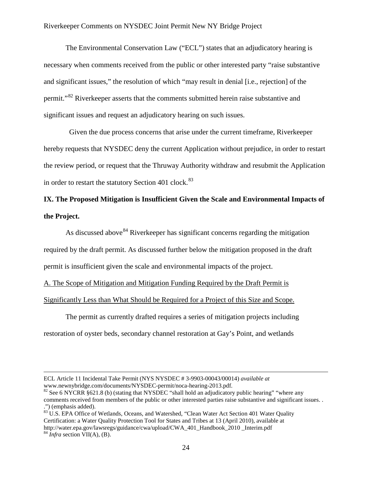The Environmental Conservation Law ("ECL") states that an adjudicatory hearing is necessary when comments received from the public or other interested party "raise substantive and significant issues," the resolution of which "may result in denial [i.e., rejection] of the permit."[82](#page-23-0) Riverkeeper asserts that the comments submitted herein raise substantive and significant issues and request an adjudicatory hearing on such issues.

 Given the due process concerns that arise under the current timeframe, Riverkeeper hereby requests that NYSDEC deny the current Application without prejudice, in order to restart the review period, or request that the Thruway Authority withdraw and resubmit the Application in order to restart the statutory Section 401 clock.<sup>[83](#page-23-1)</sup>

## **IX. The Proposed Mitigation is Insufficient Given the Scale and Environmental Impacts of the Project.**

As discussed above<sup>[84](#page-23-2)</sup> Riverkeeper has significant concerns regarding the mitigation required by the draft permit. As discussed further below the mitigation proposed in the draft permit is insufficient given the scale and environmental impacts of the project.

A. The Scope of Mitigation and Mitigation Funding Required by the Draft Permit is Significantly Less than What Should be Required for a Project of this Size and Scope.

The permit as currently drafted requires a series of mitigation projects including restoration of oyster beds, secondary channel restoration at Gay's Point, and wetlands

 $\overline{a}$ 

<span id="page-23-2"></span><span id="page-23-1"></span>.") (emphasis added). <sup>83</sup> U.S. EPA Office of Wetlands, Oceans, and Watershed, "Clean Water Act Section 401 Water Quality Certification: a Water Quality Protection Tool for States and Tribes at 13 (April 2010), available at http://water.epa.gov/lawsregs/guidance/cwa/upload/CWA\_401\_Handbook\_2010 \_Interim.pdf <sup>84</sup> *Infra* section VII(A), (B).

24

ECL Article 11 Incidental Take Permit (NYS NYSDEC # 3-9903-00043/00014) *available at*  www.newnybridge.com/documents/NYSDEC-permit/noca-hearing-2013.pdf.<br><sup>82</sup> See 6 NYCRR §621.8 (b) (stating that NYSDEC "shall hold an adjudicatory public hearing" "where any

<span id="page-23-0"></span>comments received from members of the public or other interested parties raise substantive and significant issues. .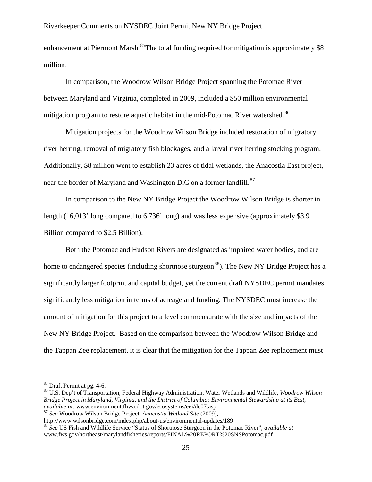enhancement at Piermont Marsh.<sup>[85](#page-24-0)</sup>The total funding required for mitigation is approximately \$8 million.

In comparison, the Woodrow Wilson Bridge Project spanning the Potomac River between Maryland and Virginia, completed in 2009, included a \$50 million environmental mitigation program to restore aquatic habitat in the mid-Potomac River watershed.<sup>86</sup>

Mitigation projects for the Woodrow Wilson Bridge included restoration of migratory river herring, removal of migratory fish blockages, and a larval river herring stocking program. Additionally, \$8 million went to establish 23 acres of tidal wetlands, the Anacostia East project, near the border of Maryland and Washington D.C on a former landfill.<sup>87</sup>

In comparison to the New NY Bridge Project the Woodrow Wilson Bridge is shorter in length (16,013' long compared to 6,736' long) and was less expensive (approximately \$3.9 Billion compared to \$2.5 Billion).

Both the Potomac and Hudson Rivers are designated as impaired water bodies, and are home to endangered species (including shortnose sturgeon<sup>[88](#page-24-3)</sup>). The New NY Bridge Project has a significantly larger footprint and capital budget, yet the current draft NYSDEC permit mandates significantly less mitigation in terms of acreage and funding. The NYSDEC must increase the amount of mitigation for this project to a level commensurate with the size and impacts of the New NY Bridge Project. Based on the comparison between the Woodrow Wilson Bridge and the Tappan Zee replacement, it is clear that the mitigation for the Tappan Zee replacement must

<span id="page-24-1"></span><span id="page-24-0"></span><sup>&</sup>lt;sup>85</sup> Draft Permit at pg. 4-6.<br><sup>86</sup> U.S. Dep't of Transportation, Federal Highway Administration, Water Wetlands and Wildlife, *Woodrow Wilson Bridge Project in Maryland, Virginia, and the District of Columbia: Environmental Stewardship at its Best*,

<span id="page-24-2"></span><sup>&</sup>lt;sup>87</sup> *See* Woodrow Wilson Bridge Project, *Anacostia Wetland Site* (2009), http://www.wilsonbridge.com/index.php/about-us/environmental-updates/189

<span id="page-24-3"></span><sup>&</sup>lt;sup>88</sup> See US Fish and Wildlife Service "Status of Shortnose Sturgeon in the Potomac River", *available at* www.fws.gov/northeast/marylandfisheries/reports/FINAL%20REPORT%20SNSPotomac.pdf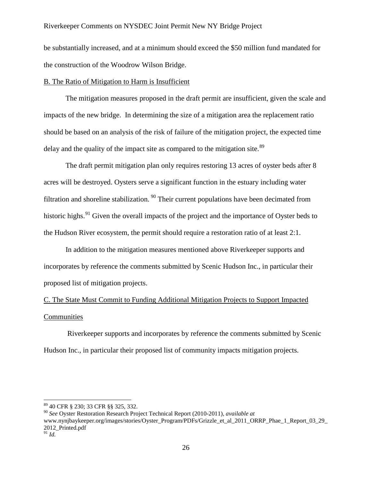be substantially increased, and at a minimum should exceed the \$50 million fund mandated for the construction of the Woodrow Wilson Bridge.

## B. The Ratio of Mitigation to Harm is Insufficient

The mitigation measures proposed in the draft permit are insufficient, given the scale and impacts of the new bridge. In determining the size of a mitigation area the replacement ratio should be based on an analysis of the risk of failure of the mitigation project, the expected time delay and the quality of the impact site as compared to the mitigation site. $89$ 

The draft permit mitigation plan only requires restoring 13 acres of oyster beds after 8 acres will be destroyed. Oysters serve a significant function in the estuary including water filtration and shoreline stabilization.  $90$  Their current populations have been decimated from historic highs.<sup>[91](#page-25-2)</sup> Given the overall impacts of the project and the importance of Oyster beds to the Hudson River ecosystem, the permit should require a restoration ratio of at least 2:1.

In addition to the mitigation measures mentioned above Riverkeeper supports and incorporates by reference the comments submitted by Scenic Hudson Inc., in particular their proposed list of mitigation projects.

# C. The State Must Commit to Funding Additional Mitigation Projects to Support Impacted Communities

Riverkeeper supports and incorporates by reference the comments submitted by Scenic Hudson Inc., in particular their proposed list of community impacts mitigation projects.

<span id="page-25-0"></span><sup>89</sup> 40 CFR § 230; 33 CFR §§ 325, 332.

<span id="page-25-1"></span><sup>90</sup> *See* Oyster Restoration Research Project Technical Report (2010-2011), *available at* 

www.nynjbaykeeper.org/images/stories/Oyster\_Program/PDFs/Grizzle\_et\_al\_2011\_ORRP\_Phae\_1\_Report\_03\_29\_ 2012\_Printed.pdf

<span id="page-25-2"></span> $\frac{5}{91}$ *Id.*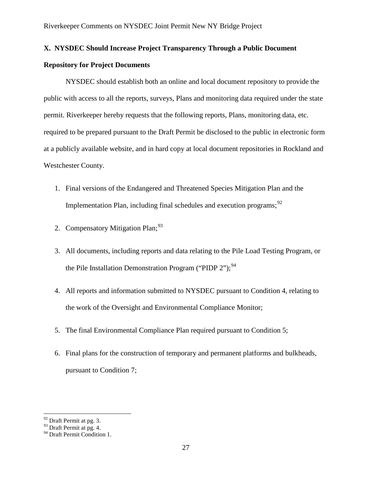## **X. NYSDEC Should Increase Project Transparency Through a Public Document**

## **Repository for Project Documents**

NYSDEC should establish both an online and local document repository to provide the public with access to all the reports, surveys, Plans and monitoring data required under the state permit. Riverkeeper hereby requests that the following reports, Plans, monitoring data, etc. required to be prepared pursuant to the Draft Permit be disclosed to the public in electronic form at a publicly available website, and in hard copy at local document repositories in Rockland and Westchester County.

- 1. Final versions of the Endangered and Threatened Species Mitigation Plan and the Implementation Plan, including final schedules and execution programs;<sup>[92](#page-26-0)</sup>
- 2. Compensatory Mitigation Plan;<sup>[93](#page-26-1)</sup>
- 3. All documents, including reports and data relating to the Pile Load Testing Program, or the Pile Installation Demonstration Program ("PIDP  $2$ ");<sup>[94](#page-26-2)</sup>
- 4. All reports and information submitted to NYSDEC pursuant to Condition 4, relating to the work of the Oversight and Environmental Compliance Monitor;
- 5. The final Environmental Compliance Plan required pursuant to Condition 5;
- 6. Final plans for the construction of temporary and permanent platforms and bulkheads, pursuant to Condition 7;

<span id="page-26-0"></span> $92$  Draft Permit at pg. 3.

 $93$  Draft Permit at pg. 4.

<span id="page-26-2"></span><span id="page-26-1"></span><sup>&</sup>lt;sup>94</sup> Draft Permit Condition 1.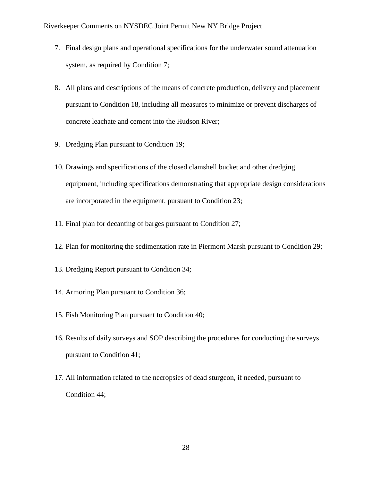- 7. Final design plans and operational specifications for the underwater sound attenuation system, as required by Condition 7;
- 8. All plans and descriptions of the means of concrete production, delivery and placement pursuant to Condition 18, including all measures to minimize or prevent discharges of concrete leachate and cement into the Hudson River;
- 9. Dredging Plan pursuant to Condition 19;
- 10. Drawings and specifications of the closed clamshell bucket and other dredging equipment, including specifications demonstrating that appropriate design considerations are incorporated in the equipment, pursuant to Condition 23;
- 11. Final plan for decanting of barges pursuant to Condition 27;
- 12. Plan for monitoring the sedimentation rate in Piermont Marsh pursuant to Condition 29;
- 13. Dredging Report pursuant to Condition 34;
- 14. Armoring Plan pursuant to Condition 36;
- 15. Fish Monitoring Plan pursuant to Condition 40;
- 16. Results of daily surveys and SOP describing the procedures for conducting the surveys pursuant to Condition 41;
- 17. All information related to the necropsies of dead sturgeon, if needed, pursuant to Condition 44;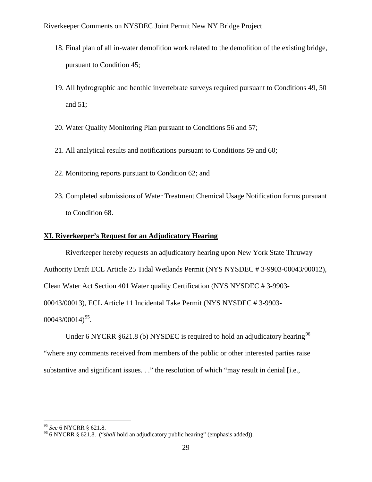- 18. Final plan of all in-water demolition work related to the demolition of the existing bridge, pursuant to Condition 45;
- 19. All hydrographic and benthic invertebrate surveys required pursuant to Conditions 49, 50 and 51;
- 20. Water Quality Monitoring Plan pursuant to Conditions 56 and 57;
- 21. All analytical results and notifications pursuant to Conditions 59 and 60;
- 22. Monitoring reports pursuant to Condition 62; and
- 23. Completed submissions of Water Treatment Chemical Usage Notification forms pursuant to Condition 68.

## **XI. Riverkeeper's Request for an Adjudicatory Hearing**

Riverkeeper hereby requests an adjudicatory hearing upon New York State Thruway Authority Draft ECL Article 25 Tidal Wetlands Permit (NYS NYSDEC # 3-9903-00043/00012), Clean Water Act Section 401 Water quality Certification (NYS NYSDEC # 3-9903- 00043/00013), ECL Article 11 Incidental Take Permit (NYS NYSDEC # 3-9903-  $00043/00014)^{95}$ .

Under 6 NYCRR  $\S 621.8$  (b) NYSDEC is required to hold an adjudicatory hearing  $96$ "where any comments received from members of the public or other interested parties raise substantive and significant issues. . ." the resolution of which "may result in denial [i.e.,

<span id="page-28-1"></span><span id="page-28-0"></span><sup>&</sup>lt;sup>95</sup> *See* 6 NYCRR § 621.8.<br><sup>96</sup> 6 NYCRR § 621.8. ("*shall* hold an adjudicatory public hearing" (emphasis added)).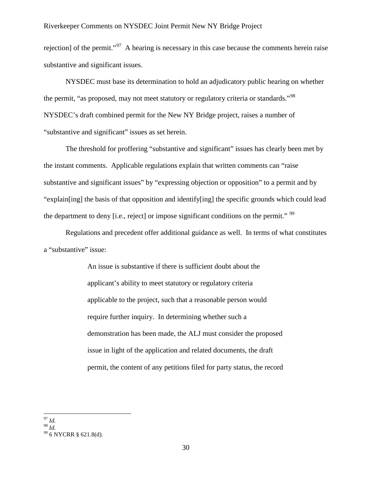rejection] of the permit."<sup>97</sup> A hearing is necessary in this case because the comments herein raise substantive and significant issues.

NYSDEC must base its determination to hold an adjudicatory public hearing on whether the permit, "as proposed, may not meet statutory or regulatory criteria or standards."<sup>[98](#page-29-1)</sup> NYSDEC's draft combined permit for the New NY Bridge project, raises a number of "substantive and significant" issues as set herein.

The threshold for proffering "substantive and significant" issues has clearly been met by the instant comments. Applicable regulations explain that written comments can "raise substantive and significant issues" by "expressing objection or opposition" to a permit and by "explain[ing] the basis of that opposition and identify[ing] the specific grounds which could lead the department to deny [i.e., reject] or impose significant conditions on the permit."<sup>[99](#page-29-2)</sup>

Regulations and precedent offer additional guidance as well. In terms of what constitutes a "substantive" issue:

> An issue is substantive if there is sufficient doubt about the applicant's ability to meet statutory or regulatory criteria applicable to the project, such that a reasonable person would require further inquiry. In determining whether such a demonstration has been made, the ALJ must consider the proposed issue in light of the application and related documents, the draft permit, the content of any petitions filed for party status, the record

<span id="page-29-1"></span><span id="page-29-0"></span>97 *Id.*

<span id="page-29-2"></span><sup>&</sup>lt;sup>99</sup> 6 NYCRR § 621.8(d).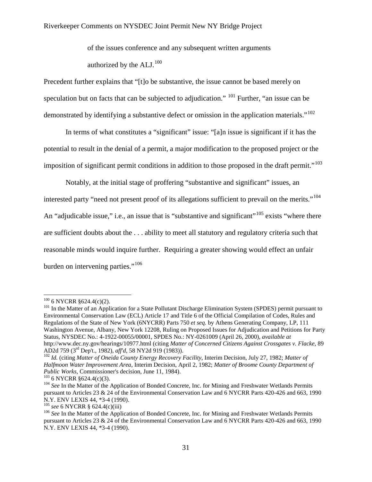of the issues conference and any subsequent written arguments authorized by the  $ALJ<sub>100</sub>$  $ALJ<sub>100</sub>$  $ALJ<sub>100</sub>$ 

Precedent further explains that "[t]o be substantive, the issue cannot be based merely on speculation but on facts that can be subjected to adjudication."  $101$  Further, "an issue can be demonstrated by identifying a substantive defect or omission in the application materials."<sup>[102](#page-30-2)</sup>

In terms of what constitutes a "significant" issue: "[a]n issue is significant if it has the potential to result in the denial of a permit, a major modification to the proposed project or the imposition of significant permit conditions in addition to those proposed in the draft permit."<sup>[103](#page-30-3)</sup>

Notably, at the initial stage of proffering "substantive and significant" issues, an interested party "need not present proof of its allegations sufficient to prevail on the merits."<sup>[104](#page-30-4)</sup> An "adjudicable issue," i.e., an issue that is "substantive and significant"<sup>[105](#page-30-5)</sup> exists "where there are sufficient doubts about the . . . ability to meet all statutory and regulatory criteria such that reasonable minds would inquire further. Requiring a greater showing would effect an unfair burden on intervening parties."<sup>[106](#page-30-6)</sup>

<span id="page-30-1"></span><span id="page-30-0"></span> $100$  6 NYCRR §624.4(c)(2).<br> $101$  In the Matter of an Application for a State Pollutant Discharge Elimination System (SPDES) permit pursuant to Environmental Conservation Law (ECL) Article 17 and Title 6 of the Official Compilation of Codes, Rules and Regulations of the State of New York (6NYCRR) Parts 750 *et seq.* by Athens Generating Company, LP, 111 Washington Avenue, Albany, New York 12208, Ruling on Proposed Issues for Adjudication and Petitions for Party Status, NYSDEC No.: 4-1922-00055/00001, SPDES No.: NY-0261009 (April 26, 2000), *available at* http://www.dec.ny.gov/hearings/10977.html (citing *Matter of Concerned Citizens Against Crossgates v. Flacke*, 89

<span id="page-30-2"></span><sup>&</sup>lt;sup>102</sup> Id. (citing Matter of Oneida County Energy Recovery Facility, Interim Decision, July 27, 1982; Matter of *Halfmoon Water Improvement Area*, Interim Decision, April 2, 1982; *Matter of Broome County Department of* 

<span id="page-30-4"></span><span id="page-30-3"></span><sup>&</sup>lt;sup>103</sup> 6 NYCRR §624.4(c)(3).<br><sup>104</sup> *See* In the Matter of the Application of Bonded Concrete, Inc. for Mining and Freshwater Wetlands Permits pursuant to Articles 23 & 24 of the Environmental Conservation Law and  $6$  NYCRR Parts 420-426 and 663, 1990 N.Y. ENV LEXIS 44, \*3-4 (1990).

<span id="page-30-6"></span><span id="page-30-5"></span><sup>&</sup>lt;sup>105</sup> see 6 NYCRR § 624.4(c)(iii)<br><sup>106</sup> See In the Matter of the Application of Bonded Concrete, Inc. for Mining and Freshwater Wetlands Permits pursuant to Articles 23 & 24 of the Environmental Conservation Law and 6 NYCRR Parts 420-426 and 663, 1990 N.Y. ENV LEXIS 44, \*3-4 (1990).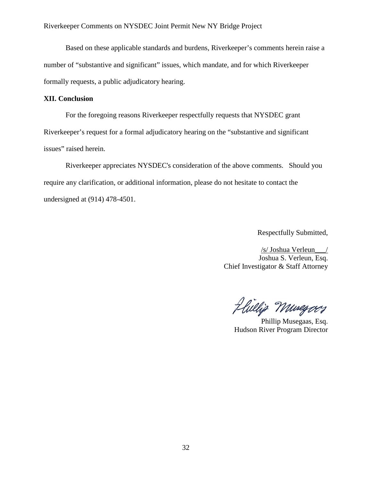Based on these applicable standards and burdens, Riverkeeper's comments herein raise a number of "substantive and significant" issues, which mandate, and for which Riverkeeper formally requests, a public adjudicatory hearing.

## **XII. Conclusion**

For the foregoing reasons Riverkeeper respectfully requests that NYSDEC grant Riverkeeper's request for a formal adjudicatory hearing on the "substantive and significant issues" raised herein.

Riverkeeper appreciates NYSDEC's consideration of the above comments. Should you require any clarification, or additional information, please do not hesitate to contact the undersigned at (914) 478-4501.

Respectfully Submitted,

/s/ Joshua Verleun\_\_\_/ Joshua S. Verleun, Esq. Chief Investigator & Staff Attorney

Hillig Munegoes

Phillip Musegaas, Esq. Hudson River Program Director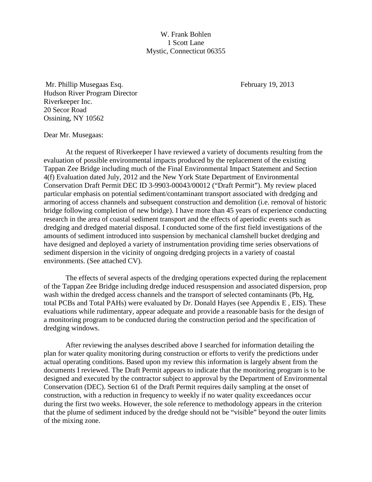W. Frank Bohlen 1 Scott Lane Mystic, Connecticut 06355

Mr. Phillip Musegaas Esq. The Contract of the Secretary 19, 2013 Hudson River Program Director Riverkeeper Inc. 20 Secor Road Ossining, NY 10562

## Dear Mr. Musegaas:

At the request of Riverkeeper I have reviewed a variety of documents resulting from the evaluation of possible environmental impacts produced by the replacement of the existing Tappan Zee Bridge including much of the Final Environmental Impact Statement and Section 4(f) Evaluation dated July, 2012 and the New York State Department of Environmental Conservation Draft Permit DEC ID 3-9903-00043/00012 ("Draft Permit"). My review placed particular emphasis on potential sediment/contaminant transport associated with dredging and armoring of access channels and subsequent construction and demolition (i.e. removal of historic bridge following completion of new bridge). I have more than 45 years of experience conducting research in the area of coastal sediment transport and the effects of aperiodic events such as dredging and dredged material disposal. I conducted some of the first field investigations of the amounts of sediment introduced into suspension by mechanical clamshell bucket dredging and have designed and deployed a variety of instrumentation providing time series observations of sediment dispersion in the vicinity of ongoing dredging projects in a variety of coastal environments. (See attached CV).

The effects of several aspects of the dredging operations expected during the replacement of the Tappan Zee Bridge including dredge induced resuspension and associated dispersion, prop wash within the dredged access channels and the transport of selected contaminants (Pb, Hg, total PCBs and Total PAHs) were evaluated by Dr. Donald Hayes (see Appendix E , EIS). These evaluations while rudimentary, appear adequate and provide a reasonable basis for the design of a monitoring program to be conducted during the construction period and the specification of dredging windows.

After reviewing the analyses described above I searched for information detailing the plan for water quality monitoring during construction or efforts to verify the predictions under actual operating conditions. Based upon my review this information is largely absent from the documents I reviewed. The Draft Permit appears to indicate that the monitoring program is to be designed and executed by the contractor subject to approval by the Department of Environmental Conservation (DEC). Section 61 of the Draft Permit requires daily sampling at the onset of construction, with a reduction in frequency to weekly if no water quality exceedances occur during the first two weeks. However, the sole reference to methodology appears in the criterion that the plume of sediment induced by the dredge should not be "visible" beyond the outer limits of the mixing zone.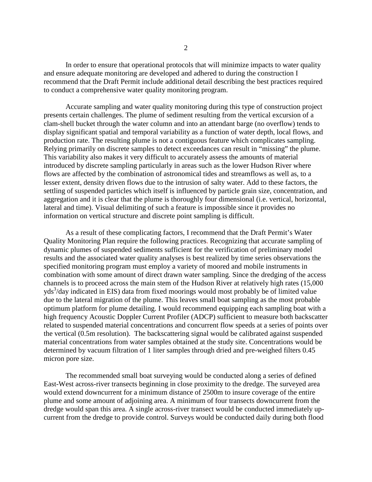In order to ensure that operational protocols that will minimize impacts to water quality and ensure adequate monitoring are developed and adhered to during the construction I recommend that the Draft Permit include additional detail describing the best practices required to conduct a comprehensive water quality monitoring program.

Accurate sampling and water quality monitoring during this type of construction project presents certain challenges. The plume of sediment resulting from the vertical excursion of a clam-shell bucket through the water column and into an attendant barge (no overflow) tends to display significant spatial and temporal variability as a function of water depth, local flows, and production rate. The resulting plume is not a contiguous feature which complicates sampling. Relying primarily on discrete samples to detect exceedances can result in "missing" the plume. This variability also makes it very difficult to accurately assess the amounts of material introduced by discrete sampling particularly in areas such as the lower Hudson River where flows are affected by the combination of astronomical tides and streamflows as well as, to a lesser extent, density driven flows due to the intrusion of salty water. Add to these factors, the settling of suspended particles which itself is influenced by particle grain size, concentration, and aggregation and it is clear that the plume is thoroughly four dimensional (i.e. vertical, horizontal, lateral and time). Visual delimiting of such a feature is impossible since it provides no information on vertical structure and discrete point sampling is difficult.

As a result of these complicating factors, I recommend that the Draft Permit's Water Quality Monitoring Plan require the following practices. Recognizing that accurate sampling of dynamic plumes of suspended sediments sufficient for the verification of preliminary model results and the associated water quality analyses is best realized by time series observations the specified monitoring program must employ a variety of moored and mobile instruments in combination with some amount of direct drawn water sampling. Since the dredging of the access channels is to proceed across the main stem of the Hudson River at relatively high rates (15,000 yds<sup>3</sup>/day indicated in EIS) data from fixed moorings would most probably be of limited value due to the lateral migration of the plume. This leaves small boat sampling as the most probable optimum platform for plume detailing. I would recommend equipping each sampling boat with a high frequency Acoustic Doppler Current Profiler (ADCP) sufficient to measure both backscatter related to suspended material concentrations and concurrent flow speeds at a series of points over the vertical (0.5m resolution). The backscattering signal would be calibrated against suspended material concentrations from water samples obtained at the study site. Concentrations would be determined by vacuum filtration of 1 liter samples through dried and pre-weighed filters 0.45 micron pore size.

The recommended small boat surveying would be conducted along a series of defined East-West across-river transects beginning in close proximity to the dredge. The surveyed area would extend downcurrent for a minimum distance of 2500m to insure coverage of the entire plume and some amount of adjoining area. A minimum of four transects downcurrent from the dredge would span this area. A single across-river transect would be conducted immediately upcurrent from the dredge to provide control. Surveys would be conducted daily during both flood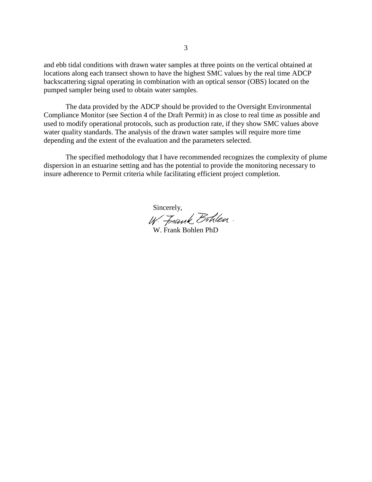and ebb tidal conditions with drawn water samples at three points on the vertical obtained at locations along each transect shown to have the highest SMC values by the real time ADCP backscattering signal operating in combination with an optical sensor (OBS) located on the pumped sampler being used to obtain water samples.

The data provided by the ADCP should be provided to the Oversight Environmental Compliance Monitor (see Section 4 of the Draft Permit) in as close to real time as possible and used to modify operational protocols, such as production rate, if they show SMC values above water quality standards. The analysis of the drawn water samples will require more time depending and the extent of the evaluation and the parameters selected.

The specified methodology that I have recommended recognizes the complexity of plume dispersion in an estuarine setting and has the potential to provide the monitoring necessary to insure adherence to Permit criteria while facilitating efficient project completion.

Sincerely,<br>W. Frank Bohlen.

W. Frank Bohlen PhD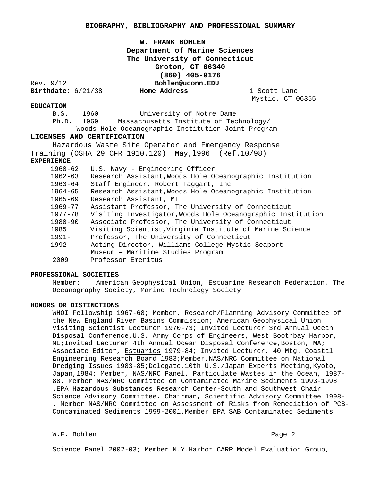## **W. FRANK BOHLEN Department of Marine Sciences The University of Connecticut Groton, CT 06340 (860) 405-9176** Rev. 9/12 **Bohlen@uconn.EDU**<br>Birthdate: 6/21/38 **Home Address: Birthdate:** 6/21/38 **Home Address:** 1 Scott Lane

Mystic, CT 06355

#### **EDUCATION**

B.S. 1960 University of Notre Dame

Ph.D. 1969 Massachusetts Institute of Technology/

 Woods Hole Oceanographic Institution Joint Program **LICENSES AND CERTIFICATION** 

 Hazardous Waste Site Operator and Emergency Response Training (OSHA 29 CFR 1910.120) May,l996 (Ref.10/98)

#### **EXPERIENCE**

| $1960 - 62$ | U.S. Navy - Engineering Officer                             |
|-------------|-------------------------------------------------------------|
| $1962 - 63$ | Research Assistant, Woods Hole Oceanographic Institution    |
| 1963-64     | Staff Engineer, Robert Taggart, Inc.                        |
| 1964-65     | Research Assistant, Woods Hole Oceanographic Institution    |
| 1965-69     | Research Assistant, MIT                                     |
| 1969-77     | Assistant Professor, The University of Connecticut          |
| 1977-78     | Visiting Investigator, Woods Hole Oceanographic Institution |
| 1980-90     | Associate Professor, The University of Connecticut          |
| 1985        | Visiting Scientist, Virginia Institute of Marine Science    |
| $1991 -$    | Professor, The University of Connecticut                    |
| 1992        | Acting Director, Williams College-Mystic Seaport            |
|             | Museum - Maritime Studies Program                           |
| 2009        | Professor Emeritus                                          |
|             |                                                             |

#### **PROFESSIONAL SOCIETIES**

Member: American Geophysical Union, Estuarine Research Federation, The Oceanography Society, Marine Technology Society

#### **HONORS OR DISTINCTIONS**

WHOI Fellowship 1967-68; Member, Research/Planning Advisory Committee of the New England River Basins Commission; American Geophysical Union Visiting Scientist Lecturer 1970-73; Invited Lecturer 3rd Annual Ocean Disposal Conference,U.S. Army Corps of Engineers, West Boothbay Harbor, ME;Invited Lecturer 4th Annual Ocean Disposal Conference,Boston, MA; Associate Editor, Estuaries 1979-84; Invited Lecturer, 40 Mtg. Coastal Engineering Research Board 1983; Member, NAS/NRC Committee on National Dredging Issues 1983-85;Delegate,10th U.S./Japan Experts Meeting,Kyoto, Japan,1984; Member, NAS/NRC Panel, Particulate Wastes in the Ocean, 1987- 88. Member NAS/NRC Committee on Contaminated Marine Sediments 1993-1998 .EPA Hazardous Substances Research Center-South and Southwest Chair Science Advisory Committee. Chairman, Scientific Advisory Committee 1998- . Member NAS/NRC Committee on Assessment of Risks from Remediation of PCB-Contaminated Sediments 1999-2001.Member EPA SAB Contaminated Sediments

W.F. Bohlen Page 2

Science Panel 2002-03; Member N.Y.Harbor CARP Model Evaluation Group,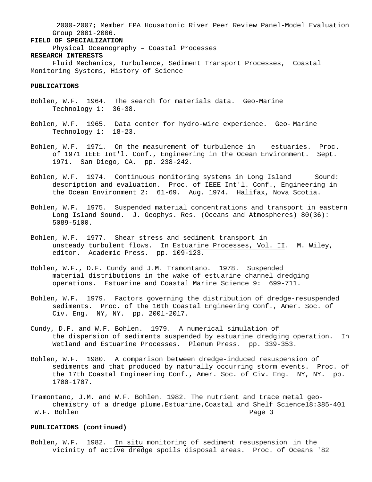2000-2007; Member EPA Housatonic River Peer Review Panel-Model Evaluation Group 2001-2006.

### **FIELD OF SPECIALIZATION**

Physical Oceanography – Coastal Processes

## **RESEARCH INTERESTS**

Fluid Mechanics, Turbulence, Sediment Transport Processes, Coastal Monitoring Systems, History of Science

#### **PUBLICATIONS**

- Bohlen, W.F. 1964. The search for materials data. Geo-Marine Technology 1: 36-38.
- Bohlen, W.F. 1965. Data center for hydro-wire experience. Geo- Marine Technology 1: 18-23.
- Bohlen, W.F. 1971. On the measurement of turbulence in estuaries. Proc. of 1971 IEEE Int'l. Conf., Engineering in the Ocean Environment. Sept. 1971. San Diego, CA. pp. 238-242.
- Bohlen, W.F. 1974. Continuous monitoring systems in Long Island Sound: description and evaluation. Proc. of IEEE Int'l. Conf., Engineering in the Ocean Environment 2: 61-69. Aug. 1974. Halifax, Nova Scotia.
- Bohlen, W.F. 1975. Suspended material concentrations and transport in eastern Long Island Sound. J. Geophys. Res. (Oceans and Atmospheres) 80(36): 5089-5100.
- Bohlen, W.F. 1977. Shear stress and sediment transport in unsteady turbulent flows. In Estuarine Processes, Vol. II. M. Wiley, editor. Academic Press. pp. 109-123.
- Bohlen, W.F., D.F. Cundy and J.M. Tramontano. 1978. Suspended material distributions in the wake of estuarine channel dredging operations. Estuarine and Coastal Marine Science 9: 699-711.
- Bohlen, W.F. 1979. Factors governing the distribution of dredge-resuspended sediments. Proc. of the 16th Coastal Engineering Conf., Amer. Soc. of Civ. Eng. NY, NY. pp. 2001-2017.
- Cundy, D.F. and W.F. Bohlen. 1979. A numerical simulation of the dispersion of sediments suspended by estuarine dredging operation. In Wetland and Estuarine Processes. Plenum Press. pp. 339-353.
- Bohlen, W.F. 1980. A comparison between dredge-induced resuspension of sediments and that produced by naturally occurring storm events. Proc. of the 17th Coastal Engineering Conf., Amer. Soc. of Civ. Eng. NY, NY. pp. 1700-1707.
- Tramontano, J.M. and W.F. Bohlen. 1982. The nutrient and trace metal geochemistry of a dredge plume.Estuarine,Coastal and Shelf Science18:385-401 W.F. Bohlen

#### **PUBLICATIONS (continued)**

Bohlen, W.F. 1982. In situ monitoring of sediment resuspension in the vicinity of active dredge spoils disposal areas. Proc. of Oceans '82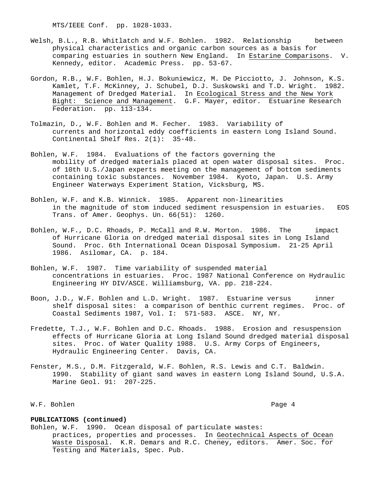MTS/IEEE Conf. pp. 1028-1033.

- Welsh, B.L., R.B. Whitlatch and W.F. Bohlen. 1982. Relationship between physical characteristics and organic carbon sources as a basis for comparing estuaries in southern New England. In Estarine Comparisons. V. Kennedy, editor. Academic Press. pp. 53-67.
- Gordon, R.B., W.F. Bohlen, H.J. Bokuniewicz, M. De Picciotto, J. Johnson, K.S. Kamlet, T.F. McKinney, J. Schubel, D.J. Suskowski and T.D. Wright. 1982. Management of Dredged Material. In Ecological Stress and the New York Bight: Science and Management. G.F. Mayer, editor. Estuarine Research Federation. pp. 113-134.
- Tolmazin, D., W.F. Bohlen and M. Fecher. 1983. Variability of currents and horizontal eddy coefficients in eastern Long Island Sound. Continental Shelf Res. 2(1): 35-48.
- Bohlen, W.F. 1984. Evaluations of the factors governing the mobility of dredged materials placed at open water disposal sites. Proc. of 10th U.S./Japan experts meeting on the management of bottom sediments containing toxic substances. November 1984. Kyoto, Japan. U.S. Army Engineer Waterways Experiment Station, Vicksburg, MS.
- Bohlen, W.F. and K.B. Winnick. 1985. Apparent non-linearities in the magnitude of stom induced sediment resuspension in estuaries. EOS Trans. of Amer. Geophys. Un. 66(51): 1260.
- Bohlen, W.F., D.C. Rhoads, P. McCall and R.W. Morton. 1986. The impact of Hurricane Gloria on dredged material disposal sites in Long Island Sound. Proc. 6th International Ocean Disposal Symposium. 21-25 April 1986. Asilomar, CA. p. 184.
- Bohlen, W.F. 1987. Time variability of suspended material concentrations in estuaries. Proc. 1987 National Conference on Hydraulic Engineering HY DIV/ASCE. Williamsburg, VA. pp. 218-224.
- Boon, J.D., W.F. Bohlen and L.D. Wright. 1987. Estuarine versus inner shelf disposal sites: a comparison of benthic current regimes. Proc. of Coastal Sediments 1987, Vol. I: 571-583. ASCE. NY, NY.
- Fredette, T.J., W.F. Bohlen and D.C. Rhoads. 1988. Erosion and resuspension effects of Hurricane Gloria at Long Island Sound dredged material disposal sites. Proc. of Water Quality 1988. U.S. Army Corps of Engineers, Hydraulic Engineering Center. Davis, CA.
- Fenster, M.S., D.M. Fitzgerald, W.F. Bohlen, R.S. Lewis and C.T. Baldwin. 1990. Stability of giant sand waves in eastern Long Island Sound, U.S.A. Marine Geol. 91: 207-225.

W.F. Bohlen Page 4

#### **PUBLICATIONS (continued)**

Bohlen, W.F. 1990. Ocean disposal of particulate wastes: practices, properties and processes. In Geotechnical Aspects of Ocean Waste Disposal. K.R. Demars and R.C. Cheney, editors. Amer. Soc. for Testing and Materials, Spec. Pub.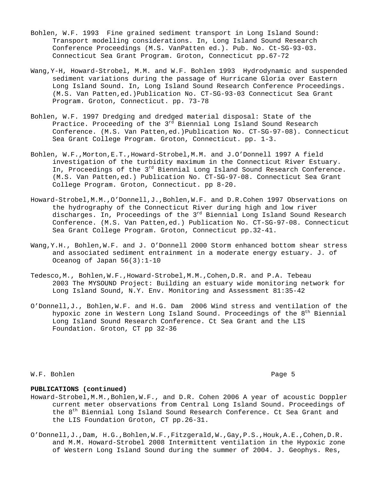- Bohlen, W.F. 1993 Fine grained sediment transport in Long Island Sound: Transport modelling considerations. In, Long Island Sound Research Conference Proceedings (M.S. VanPatten ed.). Pub. No. Ct-SG-93-03. Connecticut Sea Grant Program. Groton, Connecticut pp.67-72
- Wang,Y-H, Howard-Strobel, M.M. and W.F. Bohlen 1993 Hydrodynamic and suspended sediment variations during the passage of Hurricane Gloria over Eastern Long Island Sound. In, Long Island Sound Research Conference Proceedings. (M.S. Van Patten,ed.)Publication No. CT-SG-93-03 Connecticut Sea Grant Program. Groton, Connecticut. pp. 73-78
- Bohlen, W.F. 1997 Dredging and dredged material disposal: State of the Practice. Proceeding of the  $3<sup>rd</sup>$  Biennial Long Island Sound Research Conference. (M.S. Van Patten,ed.)Publication No. CT-SG-97-08). Connecticut Sea Grant College Program. Groton, Connecticut. pp. 1-3.
- Bohlen, W.F.,Morton,E.T.,Howard-Strobel,M.M. and J.O'Donnell 1997 A field investigation of the turbidity maximum in the Connecticut River Estuary. In, Proceedings of the 3<sup>rd</sup> Biennial Long Island Sound Research Conference. (M.S. Van Patten,ed.) Publication No. CT-SG-97-08. Connecticut Sea Grant College Program. Groton, Connecticut. pp 8-20.
- Howard-Strobel,M.M.,O'Donnell,J.,Bohlen,W.F. and D.R.Cohen 1997 Observations on the hydrography of the Connecticut River during high and low river discharges. In, Proceedings of the 3<sup>rd</sup> Biennial Long Island Sound Research Conference. (M.S. Van Patten,ed.) Publication No. CT-SG-97-08. Connecticut Sea Grant College Program. Groton, Connecticut pp.32-41.
- Wang,Y.H., Bohlen,W.F. and J. O'Donnell 2000 Storm enhanced bottom shear stress and associated sediment entrainment in a moderate energy estuary. J. of Oceanog of Japan 56(3):1-10
- Tedesco,M., Bohlen,W.F.,Howard-Strobel,M.M.,Cohen,D.R. and P.A. Tebeau 2003 The MYSOUND Project: Building an estuary wide monitoring network for Long Island Sound, N.Y. Env. Monitoring and Assessment 81:35-42
- O'Donnell,J., Bohlen,W.F. and H.G. Dam 2006 Wind stress and ventilation of the hypoxic zone in Western Long Island Sound. Proceedings of the 8<sup>th</sup> Biennial Long Island Sound Research Conference. Ct Sea Grant and the LIS Foundation. Groton, CT pp 32-36

W.F. Bohlen Page 5

#### **PUBLICATIONS (continued)**

- Howard-Strobel,M.M.,Bohlen,W.F., and D.R. Cohen 2006 A year of acoustic Doppler current meter observations from Central Long Island Sound. Proceedings of the 8<sup>th</sup> Biennial Long Island Sound Research Conference. Ct Sea Grant and the LIS Foundation Groton, CT pp.26-31.
- O'Donnell,J.,Dam, H.G.,Bohlen,W.F.,Fitzgerald,W.,Gay,P.S.,Houk,A.E.,Cohen,D.R. and M.M. Howard-Strobel 2008 Intermittent ventilation in the Hypoxic zone of Western Long Island Sound during the summer of 2004. J. Geophys. Res,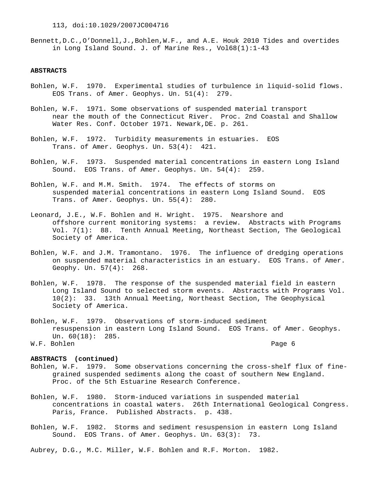Bennett,D.C.,O'Donnell,J.,Bohlen,W.F., and A.E. Houk 2010 Tides and overtides in Long Island Sound. J. of Marine Res., Vol68(1):1-43

#### **ABSTRACTS**

- Bohlen, W.F. 1970. Experimental studies of turbulence in liquid-solid flows. EOS Trans. of Amer. Geophys. Un. 51(4): 279.
- Bohlen, W.F. 1971. Some observations of suspended material transport near the mouth of the Connecticut River. Proc. 2nd Coastal and Shallow Water Res. Conf. October 1971. Newark,DE. p. 261.
- Bohlen, W.F. 1972. Turbidity measurements in estuaries. EOS Trans. of Amer. Geophys. Un. 53(4): 421.
- Bohlen, W.F. 1973. Suspended material concentrations in eastern Long Island Sound. EOS Trans. of Amer. Geophys. Un. 54(4): 259.
- Bohlen, W.F. and M.M. Smith. 1974. The effects of storms on suspended material concentrations in eastern Long Island Sound. EOS Trans. of Amer. Geophys. Un. 55(4): 280.
- Leonard, J.E., W.F. Bohlen and H. Wright. 1975. Nearshore and offshore current monitoring systems: a review. Abstracts with Programs Vol. 7(1): 88. Tenth Annual Meeting, Northeast Section, The Geological Society of America.
- Bohlen, W.F. and J.M. Tramontano. 1976. The influence of dredging operations on suspended material characteristics in an estuary. EOS Trans. of Amer. Geophy. Un. 57(4): 268.
- Bohlen, W.F. 1978. The response of the suspended material field in eastern Long Island Sound to selected storm events. Abstracts with Programs Vol. 10(2): 33. 13th Annual Meeting, Northeast Section, The Geophysical Society of America.
- Bohlen, W.F. 1979. Observations of storm-induced sediment resuspension in eastern Long Island Sound. EOS Trans. of Amer. Geophys. Un. 60(18): 285. W.F. Bohlen Page 6

### **ABSTRACTS (continued)**

- Bohlen, W.F. 1979. Some observations concerning the cross-shelf flux of finegrained suspended sediments along the coast of southern New England. Proc. of the 5th Estuarine Research Conference.
- Bohlen, W.F. 1980. Storm-induced variations in suspended material concentrations in coastal waters. 26th International Geological Congress. Paris, France. Published Abstracts. p. 438.
- Bohlen, W.F. 1982. Storms and sediment resuspension in eastern Long Island Sound. EOS Trans. of Amer. Geophys. Un. 63(3): 73.

Aubrey, D.G., M.C. Miller, W.F. Bohlen and R.F. Morton. 1982.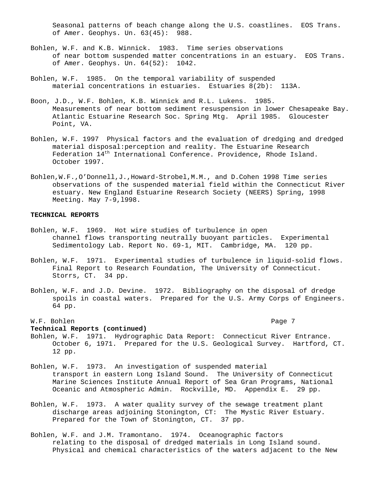Seasonal patterns of beach change along the U.S. coastlines. EOS Trans. of Amer. Geophys. Un. 63(45): 988.

- Bohlen, W.F. and K.B. Winnick. 1983. Time series observations of near bottom suspended matter concentrations in an estuary. EOS Trans. of Amer. Geophys. Un. 64(52): 1042.
- Bohlen, W.F. 1985. On the temporal variability of suspended material concentrations in estuaries. Estuaries 8(2b): 113A.
- Boon, J.D., W.F. Bohlen, K.B. Winnick and R.L. Lukens. 1985. Measurements of near bottom sediment resuspension in lower Chesapeake Bay. Atlantic Estuarine Research Soc. Spring Mtg. April 1985. Gloucester Point, VA.
- Bohlen, W.F. 1997 Physical factors and the evaluation of dredging and dredged material disposal:perception and reality. The Estuarine Research Federation  $14<sup>th</sup>$  International Conference. Providence, Rhode Island. October 1997.
- Bohlen,W.F.,O'Donnell,J.,Howard-Strobel,M.M., and D.Cohen 1998 Time series observations of the suspended material field within the Connecticut River estuary. New England Estuarine Research Society (NEERS) Spring, 1998 Meeting. May 7-9,l998.

#### **TECHNICAL REPORTS**

- Bohlen, W.F. 1969. Hot wire studies of turbulence in open channel flows transporting neutrally buoyant particles. Experimental Sedimentology Lab. Report No. 69-1, MIT. Cambridge, MA. 120 pp.
- Bohlen, W.F. 1971. Experimental studies of turbulence in liquid-solid flows. Final Report to Research Foundation, The University of Connecticut. Storrs, CT. 34 pp.
- Bohlen, W.F. and J.D. Devine. 1972. Bibliography on the disposal of dredge spoils in coastal waters. Prepared for the U.S. Army Corps of Engineers. 64 pp.

### W.F. Bohlen Page 7

#### **Technical Reports (continued)**

- Bohlen, W.F. 1971. Hydrographic Data Report: Connecticut River Entrance. October 6, 1971. Prepared for the U.S. Geological Survey. Hartford, CT. 12 pp.
- Bohlen, W.F. 1973. An investigation of suspended material transport in eastern Long Island Sound. The University of Connecticut Marine Sciences Institute Annual Report of Sea Gran Programs, National Oceanic and Atmospheric Admin. Rockville, MD. Appendix E. 29 pp.
- Bohlen, W.F. 1973. A water quality survey of the sewage treatment plant discharge areas adjoining Stonington, CT: The Mystic River Estuary. Prepared for the Town of Stonington, CT. 37 pp.
- Bohlen, W.F. and J.M. Tramontano. 1974. Oceanographic factors relating to the disposal of dredged materials in Long Island sound. Physical and chemical characteristics of the waters adjacent to the New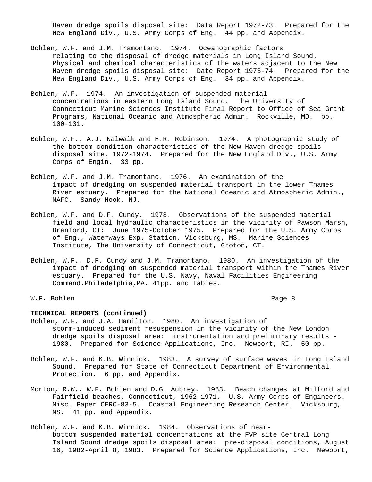Haven dredge spoils disposal site: Data Report 1972-73. Prepared for the New England Div., U.S. Army Corps of Eng. 44 pp. and Appendix.

- Bohlen, W.F. and J.M. Tramontano. 1974. Oceanographic factors relating to the disposal of dredge materials in Long Island Sound. Physical and chemical characteristics of the waters adjacent to the New Haven dredge spoils disposal site: Date Report 1973-74. Prepared for the New England Div., U.S. Army Corps of Eng. 34 pp. and Appendix.
- Bohlen, W.F. 1974. An investigation of suspended material concentrations in eastern Long Island Sound. The University of Connecticut Marine Sciences Institute Final Report to Office of Sea Grant Programs, National Oceanic and Atmospheric Admin. Rockville, MD. pp. 100-131.
- Bohlen, W.F., A.J. Nalwalk and H.R. Robinson. 1974. A photographic study of the bottom condition characteristics of the New Haven dredge spoils disposal site, 1972-1974. Prepared for the New England Div., U.S. Army Corps of Engin. 33 pp.
- Bohlen, W.F. and J.M. Tramontano. 1976. An examination of the impact of dredging on suspended material transport in the lower Thames River estuary. Prepared for the National Oceanic and Atmospheric Admin., MAFC. Sandy Hook, NJ.
- Bohlen, W.F. and D.F. Cundy. 1978. Observations of the suspended material field and local hydraulic characteristics in the vicinity of Pawson Marsh, Branford, CT: June 1975-October 1975. Prepared for the U.S. Army Corps of Eng., Waterways Exp. Station, Vicksburg, MS. Marine Sciences Institute, The University of Connecticut, Groton, CT.
- Bohlen, W.F., D.F. Cundy and J.M. Tramontano. 1980. An investigation of the impact of dredging on suspended material transport within the Thames River estuary. Prepared for the U.S. Navy, Naval Facilities Engineering Command.Philadelphia,PA. 41pp. and Tables.

### W.F. Bohlen Page 8

#### **TECHNICAL REPORTS (continued)**

- Bohlen, W.F. and J.A. Hamilton. 1980. An investigation of storm-induced sediment resuspension in the vicinity of the New London dredge spoils disposal area: instrumentation and preliminary results - 1980. Prepared for Science Applications, Inc. Newport, RI. 50 pp.
- Bohlen, W.F. and K.B. Winnick. 1983. A survey of surface waves in Long Island Sound. Prepared for State of Connecticut Department of Environmental Protection. 6 pp. and Appendix.
- Morton, R.W., W.F. Bohlen and D.G. Aubrey. 1983. Beach changes at Milford and Fairfield beaches, Connecticut, 1962-1971. U.S. Army Corps of Engineers. Misc. Paper CERC-83-5. Coastal Engineering Research Center. Vicksburg, MS. 41 pp. and Appendix.
- Bohlen, W.F. and K.B. Winnick. 1984. Observations of nearbottom suspended material concentrations at the FVP site Central Long Island Sound dredge spoils disposal area: pre-disposal conditions, August 16, 1982-April 8, 1983. Prepared for Science Applications, Inc. Newport,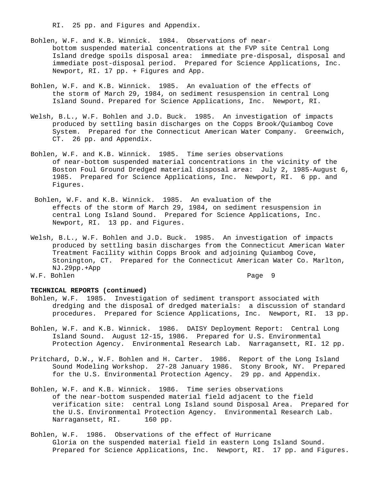RI. 25 pp. and Figures and Appendix.

- Bohlen, W.F. and K.B. Winnick. 1984. Observations of nearbottom suspended material concentrations at the FVP site Central Long Island dredge spoils disposal area: immediate pre-disposal, disposal and immediate post-disposal period. Prepared for Science Applications, Inc. Newport, RI. 17 pp. + Figures and App.
- Bohlen, W.F. and K.B. Winnick. 1985. An evaluation of the effects of the storm of March 29, 1984, on sediment resuspension in central Long Island Sound. Prepared for Science Applications, Inc. Newport, RI.
- Welsh, B.L., W.F. Bohlen and J.D. Buck. 1985. An investigation of impacts produced by settling basin discharges on the Copps Brook/Quiambog Cove System. Prepared for the Connecticut American Water Company. Greenwich, CT. 26 pp. and Appendix.
- Bohlen, W.F. and K.B. Winnick. 1985. Time series observations of near-bottom suspended material concentrations in the vicinity of the Boston Foul Ground Dredged material disposal area: July 2, 1985-August 6, 1985. Prepared for Science Applications, Inc. Newport, RI. 6 pp. and Figures.
- Bohlen, W.F. and K.B. Winnick. 1985. An evaluation of the effects of the storm of March 29, 1984, on sediment resuspension in central Long Island Sound. Prepared for Science Applications, Inc. Newport, RI. 13 pp. and Figures.
- Welsh, B.L., W.F. Bohlen and J.D. Buck. 1985. An investigation of impacts produced by settling basin discharges from the Connecticut American Water Treatment Facility within Copps Brook and adjoining Quiambog Cove, Stonington, CT. Prepared for the Connecticut American Water Co. Marlton, NJ.29pp.+App W.F. Bohlen Page 9

#### **TECHNICAL REPORTS (continued)**

- Bohlen, W.F. 1985. Investigation of sediment transport associated with dredging and the disposal of dredged materials: a discussion of standard procedures. Prepared for Science Applications, Inc. Newport, RI. 13 pp.
- Bohlen, W.F. and K.B. Winnick. 1986. DAISY Deployment Report: Central Long Island Sound. August 12-15, 1986. Prepared for U.S. Environmental Protection Agency. Environmental Research Lab. Narragansett, RI. 12 pp.
- Pritchard, D.W., W.F. Bohlen and H. Carter. 1986. Report of the Long Island Sound Modeling Workshop. 27-28 January 1986. Stony Brook, NY. Prepared for the U.S. Environmental Protection Agency. 29 pp. and Appendix.
- Bohlen, W.F. and K.B. Winnick. 1986. Time series observations of the near-bottom suspended material field adjacent to the field verification site: central Long Island sound Disposal Area. Prepared for the U.S. Environmental Protection Agency. Environmental Research Lab.<br>Narragansett, RI. 160 pp. Narragansett, RI.
- Bohlen, W.F. 1986. Observations of the effect of Hurricane Gloria on the suspended material field in eastern Long Island Sound. Prepared for Science Applications, Inc. Newport, RI. 17 pp. and Figures.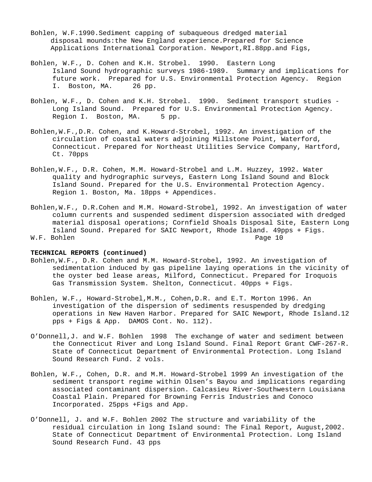- Bohlen, W.F.1990.Sediment capping of subaqueous dredged material disposal mounds:the New England experience.Prepared for Science Applications International Corporation. Newport,RI.88pp.and Figs,
- Bohlen, W.F., D. Cohen and K.H. Strobel. 1990. Eastern Long Island Sound hydrographic surveys 1986-1989. Summary and implications for future work. Prepared for U.S. Environmental Protection Agency. Region<br>I. Boston, MA. 26 pp. I. Boston, MA.
- Bohlen, W.F., D. Cohen and K.H. Strobel. 1990. Sediment transport studies Long Island Sound. Prepared for U.S. Environmental Protection Agency.<br>Region I. Boston, MA. 5 pp. Region I. Boston, MA.
- Bohlen,W.F.,D.R. Cohen, and K.Howard-Strobel, 1992. An investigation of the circulation of coastal waters adjoining Millstone Point, Waterford, Connecticut. Prepared for Northeast Utilities Service Company, Hartford, Ct. 70pps
- Bohlen,W.F., D.R. Cohen, M.M. Howard-Strobel and L.M. Huzzey, 1992. Water quality and hydrographic surveys, Eastern Long Island Sound and Block Island Sound. Prepared for the U.S. Environmental Protection Agency. Region 1. Boston, Ma. 18pps + Appendices.
- Bohlen,W.F., D.R.Cohen and M.M. Howard-Strobel, 1992. An investigation of water column currents and suspended sediment dispersion associated with dredged material disposal operations; Cornfield Shoals Disposal Site, Eastern Long Island Sound. Prepared for SAIC Newport, Rhode Island. 49pps + Figs. W.F. Bohlen Page 10

#### **TECHNICAL REPORTS (continued)**

- Bohlen,W.F., D.R. Cohen and M.M. Howard-Strobel, 1992. An investigation of sedimentation induced by gas pipeline laying operations in the vicinity of the oyster bed lease areas, Milford, Connecticut. Prepared for Iroquois Gas Transmission System. Shelton, Connecticut. 40pps + Figs.
- Bohlen, W.F., Howard-Strobel,M.M., Cohen,D.R. and E.T. Morton 1996. An investigation of the dispersion of sediments resuspended by dredging operations in New Haven Harbor. Prepared for SAIC Newport, Rhode Island.12 pps + Figs & App. DAMOS Cont. No. 112).
- O'Donnell,J. and W.F. Bohlen 1998 The exchange of water and sediment between the Connecticut River and Long Island Sound. Final Report Grant CWF-267-R. State of Connecticut Department of Environmental Protection. Long Island Sound Research Fund. 2 vols.
- Bohlen, W.F., Cohen, D.R. and M.M. Howard-Strobel 1999 An investigation of the sediment transport regime within Olsen's Bayou and implications regarding associated contaminant dispersion. Calcasieu River-Southwestern Louisiana Coastal Plain. Prepared for Browning Ferris Industries and Conoco Incorporated. 25pps +Figs and App.
- O'Donnell, J. and W.F. Bohlen 2002 The structure and variability of the residual circulation in long Island sound: The Final Report, August,2002. State of Connecticut Department of Environmental Protection. Long Island Sound Research Fund. 43 pps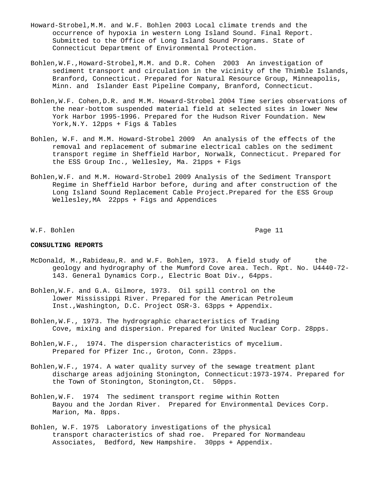- Howard-Strobel,M.M. and W.F. Bohlen 2003 Local climate trends and the occurrence of hypoxia in western Long Island Sound. Final Report. Submitted to the Office of Long Island Sound Programs. State of Connecticut Department of Environmental Protection.
- Bohlen,W.F.,Howard-Strobel,M.M. and D.R. Cohen 2003 An investigation of sediment transport and circulation in the vicinity of the Thimble Islands, Branford, Connecticut. Prepared for Natural Resource Group, Minneapolis, Minn. and Islander East Pipeline Company, Branford, Connecticut.
- Bohlen,W.F. Cohen,D.R. and M.M. Howard-Strobel 2004 Time series observations of the near-bottom suspended material field at selected sites in lower New York Harbor 1995-1996. Prepared for the Hudson River Foundation. New York, N.Y. 12pps + Figs & Tables
- Bohlen, W.F. and M.M. Howard-Strobel 2009 An analysis of the effects of the removal and replacement of submarine electrical cables on the sediment transport regime in Sheffield Harbor, Norwalk, Connecticut. Prepared for the ESS Group Inc., Wellesley, Ma. 21pps + Figs
- Bohlen,W.F. and M.M. Howard-Strobel 2009 Analysis of the Sediment Transport Regime in Sheffield Harbor before, during and after construction of the Long Island Sound Replacement Cable Project.Prepared for the ESS Group Wellesley,MA 22pps + Figs and Appendices

W.F. Bohlen Page 11

#### **CONSULTING REPORTS**

- McDonald, M., Rabideau, R. and W.F. Bohlen, 1973. A field study of the geology and hydrography of the Mumford Cove area. Tech. Rpt. No. U4440-72- 143. General Dynamics Corp., Electric Boat Div., 64pps.
- Bohlen,W.F. and G.A. Gilmore, 1973. Oil spill control on the lower Mississippi River. Prepared for the American Petroleum Inst.,Washington, D.C. Project OSR-3. 63pps + Appendix.
- Bohlen,W.F., 1973. The hydrographic characteristics of Trading Cove, mixing and dispersion. Prepared for United Nuclear Corp. 28pps.
- Bohlen,W.F., 1974. The dispersion characteristics of mycelium. Prepared for Pfizer Inc., Groton, Conn. 23pps.
- Bohlen,W.F., 1974. A water quality survey of the sewage treatment plant discharge areas adjoining Stonington, Connecticut:1973-1974. Prepared for the Town of Stonington, Stonington,Ct. 50pps.
- Bohlen,W.F. 1974 The sediment transport regime within Rotten Bayou and the Jordan River. Prepared for Environmental Devices Corp. Marion, Ma. 8pps.
- Bohlen, W.F. 1975 Laboratory investigations of the physical transport characteristics of shad roe. Prepared for Normandeau Associates, Bedford, New Hampshire. 30pps + Appendix.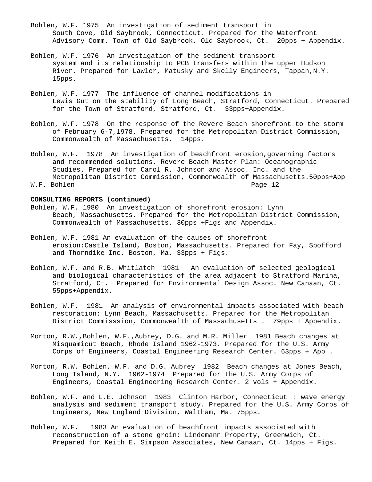- Bohlen, W.F. 1975 An investigation of sediment transport in South Cove, Old Saybrook, Connecticut. Prepared for the Waterfront Advisory Comm. Town of Old Saybrook, Old Saybrook, Ct. 20pps + Appendix.
- Bohlen, W.F. 1976 An investigation of the sediment transport system and its relationship to PCB transfers within the upper Hudson River. Prepared for Lawler, Matusky and Skelly Engineers, Tappan,N.Y. 15pps.
- Bohlen, W.F. 1977 The influence of channel modifications in Lewis Gut on the stability of Long Beach, Stratford, Connecticut. Prepared for the Town of Stratford, Stratford, Ct. 33pps+Appendix.
- Bohlen, W.F. 1978 On the response of the Revere Beach shorefront to the storm of February 6-7,l978. Prepared for the Metropolitan District Commission, Commonwealth of Massachusetts. 14pps.
- Bohlen, W.F. 1978 An investigation of beachfront erosion,governing factors and recommended solutions. Revere Beach Master Plan: Oceanographic Studies. Prepared for Carol R. Johnson and Assoc. Inc. and the Metropolitan District Commission, Commonwealth of Massachusetts.50pps+App W.F. Bohlen

- Bohlen, W.F. 1980 An investigation of shorefront erosion: Lynn Beach, Massachusetts. Prepared for the Metropolitan District Commission, Commonwealth of Massachusetts. 30pps +Figs and Appendix.
- Bohlen, W.F. 1981 An evaluation of the causes of shorefront erosion:Castle Island, Boston, Massachusetts. Prepared for Fay, Spofford and Thorndike Inc. Boston, Ma. 33pps + Figs.
- Bohlen, W.F. and R.B. Whitlatch 1981 An evaluation of selected geological and biological characteristics of the area adjacent to Stratford Marina, Stratford, Ct. Prepared for Environmental Design Assoc. New Canaan, Ct. 55pps+Appendix.
- Bohlen, W.F. 1981 An analysis of environmental impacts associated with beach restoration: Lynn Beach, Massachusetts. Prepared for the Metropolitan District Commisssion, Commonwealth of Massachusetts . 79pps + Appendix.
- Morton, R.W.,Bohlen, W.F.,Aubrey, D.G. and M.R. Miller 1981 Beach changes at Misquamicut Beach, Rhode Island 1962-1973. Prepared for the U.S. Army Corps of Engineers, Coastal Engineering Research Center. 63pps + App .
- Morton, R.W. Bohlen, W.F. and D.G. Aubrey 1982 Beach changes at Jones Beach, Long Island, N.Y. 1962-1974 Prepared for the U.S. Army Corps of Engineers, Coastal Engineering Research Center. 2 vols + Appendix.
- Bohlen, W.F. and L.E. Johnson 1983 Clinton Harbor, Connecticut : wave energy analysis and sediment transport study. Prepared for the U.S. Army Corps of Engineers, New England Division, Waltham, Ma. 75pps.
- Bohlen, W.F. 1983 An evaluation of beachfront impacts associated with reconstruction of a stone groin: Lindemann Property, Greenwich, Ct. Prepared for Keith E. Simpson Associates, New Canaan, Ct. 14pps + Figs.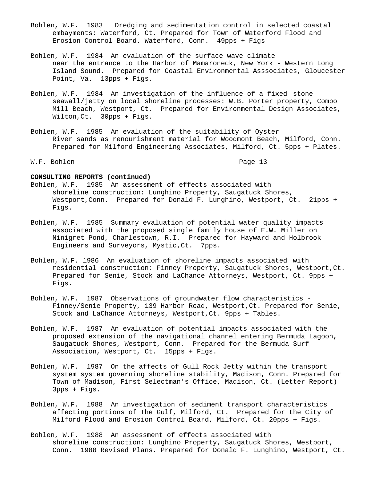- Bohlen, W.F. 1983 Dredging and sedimentation control in selected coastal embayments: Waterford, Ct. Prepared for Town of Waterford Flood and Erosion Control Board. Waterford, Conn. 49pps + Figs
- Bohlen, W.F. 1984 An evaluation of the surface wave climate near the entrance to the Harbor of Mamaroneck, New York - Western Long Island Sound. Prepared for Coastal Environmental Asssociates, Gloucester Point, Va. 13pps + Figs.
- Bohlen, W.F. 1984 An investigation of the influence of a fixed stone seawall/jetty on local shoreline processes: W.B. Porter property, Compo Mill Beach, Westport, Ct. Prepared for Environmental Design Associates, Wilton,Ct. 30pps + Figs.
- Bohlen, W.F. 1985 An evaluation of the suitability of Oyster River sands as renourishment material for Woodmont Beach, Milford, Conn. Prepared for Milford Engineering Associates, Milford, Ct. 5pps + Plates.

W.F. Bohlen Page 13

- Bohlen, W.F. 1985 An assessment of effects associated with shoreline construction: Lunghino Property, Saugatuck Shores, Westport, Conn. Prepared for Donald F. Lunghino, Westport, Ct. 21pps + Figs.
- Bohlen, W.F. 1985 Summary evaluation of potential water quality impacts associated with the proposed single family house of E.W. Miller on Ninigret Pond, Charlestown, R.I. Prepared for Hayward and Holbrook Engineers and Surveyors, Mystic,Ct. 7pps.
- Bohlen, W.F. 1986 An evaluation of shoreline impacts associated with residential construction: Finney Property, Saugatuck Shores, Westport,Ct. Prepared for Senie, Stock and LaChance Attorneys, Westport, Ct. 9pps + Figs.
- Bohlen, W.F. 1987 Observations of groundwater flow characteristics Finney/Senie Property, 139 Harbor Road, Westport,Ct. Prepared for Senie, Stock and LaChance Attorneys, Westport,Ct. 9pps + Tables.
- Bohlen, W.F. 1987 An evaluation of potential impacts associated with the proposed extension of the navigational channel entering Bermuda Lagoon, Saugatuck Shores, Westport, Conn. Prepared for the Bermuda Surf Association, Westport, Ct. 15pps + Figs.
- Bohlen, W.F. 1987 On the affects of Gull Rock Jetty within the transport system system governing shoreline stability, Madison, Conn. Prepared for Town of Madison, First Selectman's Office, Madison, Ct. (Letter Report) 3pps + Figs.
- Bohlen, W.F. 1988 An investigation of sediment transport characteristics affecting portions of The Gulf, Milford, Ct. Prepared for the City of Milford Flood and Erosion Control Board, Milford, Ct. 20pps + Figs.
- Bohlen, W.F. 1988 An assessment of effects associated with shoreline construction: Lunghino Property, Saugatuck Shores, Westport, Conn. 1988 Revised Plans. Prepared for Donald F. Lunghino, Westport, Ct.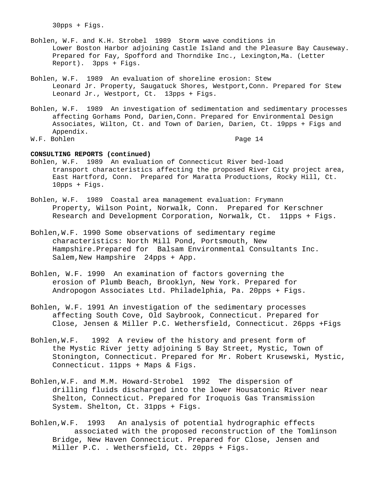30pps + Figs.

- Bohlen, W.F. and K.H. Strobel 1989 Storm wave conditions in Lower Boston Harbor adjoining Castle Island and the Pleasure Bay Causeway. Prepared for Fay, Spofford and Thorndike Inc., Lexington, Ma. (Letter Report). 3pps + Figs.
- Bohlen, W.F. 1989 An evaluation of shoreline erosion: Stew Leonard Jr. Property, Saugatuck Shores, Westport,Conn. Prepared for Stew Leonard Jr., Westport, Ct. 13pps + Figs.
- Bohlen, W.F. 1989 An investigation of sedimentation and sedimentary processes affecting Gorhams Pond, Darien,Conn. Prepared for Environmental Design Associates, Wilton, Ct. and Town of Darien, Darien, Ct. 19pps + Figs and Appendix.

W.F. Bohlen Page 14

- Bohlen, W.F. 1989 An evaluation of Connecticut River bed-load transport characteristics affecting the proposed River City project area, East Hartford, Conn. Prepared for Maratta Productions, Rocky Hill, Ct. 10pps + Figs.
- Bohlen, W.F. 1989 Coastal area management evaluation: Frymann Property, Wilson Point, Norwalk, Conn. Prepared for Kerschner Research and Development Corporation, Norwalk, Ct. 11pps + Figs.
- Bohlen,W.F. 1990 Some observations of sedimentary regime characteristics: North Mill Pond, Portsmouth, New Hampshire.Prepared for Balsam Environmental Consultants Inc. Salem,New Hampshire 24pps + App.
- Bohlen, W.F. 1990 An examination of factors governing the erosion of Plumb Beach, Brooklyn, New York. Prepared for Andropogon Associates Ltd. Philadelphia, Pa. 20pps + Figs.
- Bohlen, W.F. 1991 An investigation of the sedimentary processes affecting South Cove, Old Saybrook, Connecticut. Prepared for Close, Jensen & Miller P.C. Wethersfield, Connecticut. 26pps +Figs
- Bohlen,W.F. 1992 A review of the history and present form of the Mystic River jetty adjoining 5 Bay Street, Mystic, Town of Stonington, Connecticut. Prepared for Mr. Robert Krusewski, Mystic, Connecticut. 11pps + Maps & Figs.
- Bohlen,W.F. and M.M. Howard-Strobel 1992 The dispersion of drilling fluids discharged into the lower Housatonic River near Shelton, Connecticut. Prepared for Iroquois Gas Transmission System. Shelton, Ct. 31pps + Figs.
- Bohlen,W.F. 1993 An analysis of potential hydrographic effects associated with the proposed reconstruction of the Tomlinson Bridge, New Haven Connecticut. Prepared for Close, Jensen and Miller P.C. . Wethersfield, Ct. 20pps + Figs.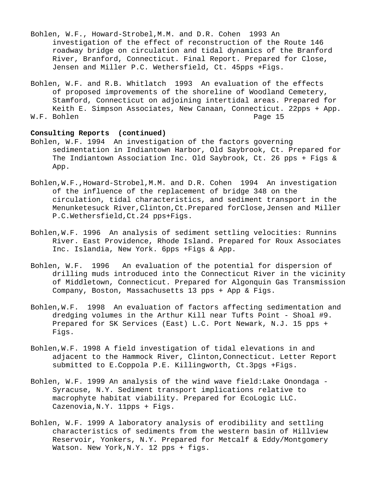- Bohlen, W.F., Howard-Strobel,M.M. and D.R. Cohen 1993 An investigation of the effect of reconstruction of the Route 146 roadway bridge on circulation and tidal dynamics of the Branford River, Branford, Connecticut. Final Report. Prepared for Close, Jensen and Miller P.C. Wethersfield, Ct. 45pps +Figs.
- Bohlen, W.F. and R.B. Whitlatch 1993 An evaluation of the effects of proposed improvements of the shoreline of Woodland Cemetery, Stamford, Connecticut on adjoining intertidal areas. Prepared for Keith E. Simpson Associates, New Canaan, Connecticut. 22pps + App.<br>Bohlen Page 15 W.F. Bohlen

#### **Consulting Reports (continued)**

- Bohlen, W.F. 1994 An investigation of the factors governing sedimentation in Indiantown Harbor, Old Saybrook, Ct. Prepared for The Indiantown Association Inc. Old Saybrook, Ct. 26 pps + Figs & App.
- Bohlen,W.F.,Howard-Strobel,M.M. and D.R. Cohen 1994 An investigation of the influence of the replacement of bridge 348 on the circulation, tidal characteristics, and sediment transport in the Menunketesuck River,Clinton,Ct.Prepared forClose,Jensen and Miller P.C.Wethersfield,Ct.24 pps+Figs.
- Bohlen,W.F. 1996 An analysis of sediment settling velocities: Runnins River. East Providence, Rhode Island. Prepared for Roux Associates Inc. Islandia, New York. 6pps +Figs & App.
- Bohlen, W.F. 1996 An evaluation of the potential for dispersion of drilling muds introduced into the Connecticut River in the vicinity of Middletown, Connecticut. Prepared for Algonquin Gas Transmission Company, Boston, Massachusetts 13 pps + App & Figs.
- Bohlen,W.F. 1998 An evaluation of factors affecting sedimentation and dredging volumes in the Arthur Kill near Tufts Point - Shoal #9. Prepared for SK Services (East) L.C. Port Newark, N.J. 15 pps + Figs.
- Bohlen,W.F. 1998 A field investigation of tidal elevations in and adjacent to the Hammock River, Clinton,Connecticut. Letter Report submitted to E.Coppola P.E. Killingworth, Ct.3pgs +Figs.
- Bohlen, W.F. 1999 An analysis of the wind wave field:Lake Onondaga Syracuse, N.Y. Sediment transport implications relative to macrophyte habitat viability. Prepared for EcoLogic LLC. Cazenovia,N.Y. 11pps + Figs.
- Bohlen, W.F. 1999 A laboratory analysis of erodibility and settling characteristics of sediments from the western basin of Hillview Reservoir, Yonkers, N.Y. Prepared for Metcalf & Eddy/Montgomery Watson. New York,N.Y. 12 pps + figs.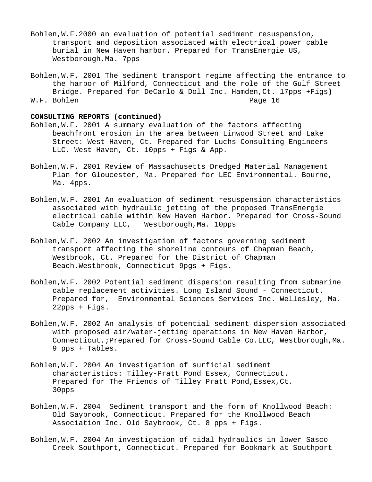- Bohlen,W.F.2000 an evaluation of potential sediment resuspension, transport and deposition associated with electrical power cable burial in New Haven harbor. Prepared for TransEnergie US, Westborough,Ma. 7pps
- Bohlen,W.F. 2001 The sediment transport regime affecting the entrance to the harbor of Milford, Connecticut and the role of the Gulf Street Bridge. Prepared for DeCarlo & Doll Inc. Hamden,Ct. 17pps +Figs**)** W.F. Bohlen

- Bohlen,W.F. 2001 A summary evaluation of the factors affecting beachfront erosion in the area between Linwood Street and Lake Street: West Haven, Ct. Prepared for Luchs Consulting Engineers LLC, West Haven, Ct. 10pps + Figs & App.
- Bohlen,W.F. 2001 Review of Massachusetts Dredged Material Management Plan for Gloucester, Ma. Prepared for LEC Environmental. Bourne, Ma. 4pps.
- Bohlen,W.F. 2001 An evaluation of sediment resuspension characteristics associated with hydraulic jetting of the proposed TransEnergie electrical cable within New Haven Harbor. Prepared for Cross-Sound Cable Company LLC, Westborough, Ma. 10pps
- Bohlen,W.F. 2002 An investigation of factors governing sediment transport affecting the shoreline contours of Chapman Beach, Westbrook, Ct. Prepared for the District of Chapman Beach.Westbrook, Connecticut 9pgs + Figs.
- Bohlen,W.F. 2002 Potential sediment dispersion resulting from submarine cable replacement activities. Long Island Sound - Connecticut. Prepared for, Environmental Sciences Services Inc. Wellesley, Ma. 22pps + Figs.
- Bohlen,W.F. 2002 An analysis of potential sediment dispersion associated with proposed air/water-jetting operations in New Haven Harbor, Connecticut.;Prepared for Cross-Sound Cable Co.LLC, Westborough,Ma. 9 pps + Tables.
- Bohlen,W.F. 2004 An investigation of surficial sediment characteristics: Tilley-Pratt Pond Essex, Connecticut. Prepared for The Friends of Tilley Pratt Pond, Essex, Ct. 30pps
- Bohlen,W.F. 2004 Sediment transport and the form of Knollwood Beach: Old Saybrook, Connecticut. Prepared for the Knollwood Beach Association Inc. Old Saybrook, Ct. 8 pps + Figs.
- Bohlen,W.F. 2004 An investigation of tidal hydraulics in lower Sasco Creek Southport, Connecticut. Prepared for Bookmark at Southport